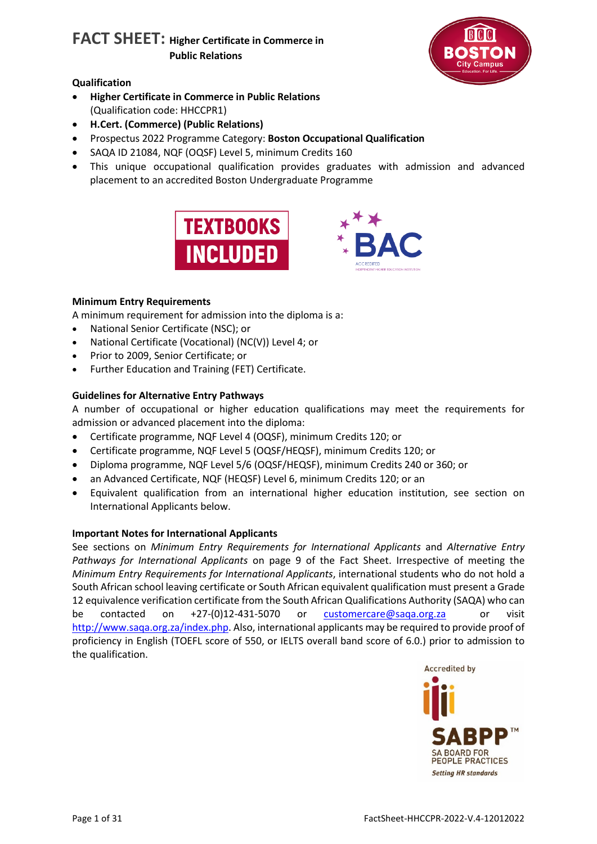

# **Qualification**

- **Higher Certificate in Commerce in Public Relations** (Qualification code: HHCCPR1)
- **H.Cert. (Commerce) (Public Relations)**
- Prospectus 2022 Programme Category: **Boston Occupational Qualification**
- SAQA ID 21084, NQF (OQSF) Level 5, minimum Credits 160
- This unique occupational qualification provides graduates with admission and advanced placement to an accredited Boston Undergraduate Programme





# **Minimum Entry Requirements**

A minimum requirement for admission into the diploma is a:

- National Senior Certificate (NSC); or
- National Certificate (Vocational) (NC(V)) Level 4; or
- Prior to 2009, Senior Certificate; or
- Further Education and Training (FET) Certificate.

# **Guidelines for Alternative Entry Pathways**

A number of occupational or higher education qualifications may meet the requirements for admission or advanced placement into the diploma:

- Certificate programme, NQF Level 4 (OQSF), minimum Credits 120; or
- Certificate programme, NQF Level 5 (OQSF/HEQSF), minimum Credits 120; or
- Diploma programme, NQF Level 5/6 (OQSF/HEQSF), minimum Credits 240 or 360; or
- an Advanced Certificate, NQF (HEQSF) Level 6, minimum Credits 120; or an
- Equivalent qualification from an international higher education institution, see section on International Applicants below.

# **Important Notes for International Applicants**

See sections on *Minimum Entry Requirements for International Applicants* and *Alternative Entry Pathways for International Applicants* on page 9 of the Fact Sheet. Irrespective of meeting the *Minimum Entry Requirements for International Applicants*, international students who do not hold a South African school leaving certificate or South African equivalent qualification must present a Grade 12 equivalence verification certificate from the South African Qualifications Authority (SAQA) who can be contacted on +27-(0)12-431-5070 or [customercare@saqa.org.za](mailto:customercare@saqa.org.za) or visit [http://www.saqa.org.za/index.php.](http://www.saqa.org.za/index.php) Also, international applicants may be required to provide proof of proficiency in English (TOEFL score of 550, or IELTS overall band score of 6.0.) prior to admission to the qualification.

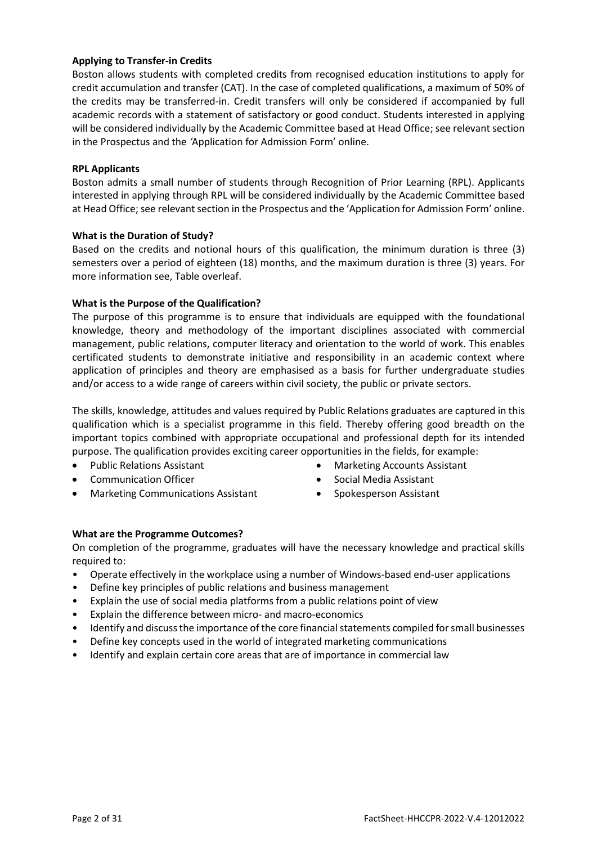# **Applying to Transfer-in Credits**

Boston allows students with completed credits from recognised education institutions to apply for credit accumulation and transfer (CAT). In the case of completed qualifications, a maximum of 50% of the credits may be transferred-in. Credit transfers will only be considered if accompanied by full academic records with a statement of satisfactory or good conduct. Students interested in applying will be considered individually by the Academic Committee based at Head Office; see relevant section in the Prospectus and the *'*Application for Admission Form' online.

# **RPL Applicants**

Boston admits a small number of students through Recognition of Prior Learning (RPL). Applicants interested in applying through RPL will be considered individually by the Academic Committee based at Head Office; see relevant section in the Prospectus and the 'Application for Admission Form' online.

#### **What is the Duration of Study?**

Based on the credits and notional hours of this qualification, the minimum duration is three (3) semesters over a period of eighteen (18) months, and the maximum duration is three (3) years. For more information see, Table overleaf.

# **What is the Purpose of the Qualification?**

The purpose of this programme is to ensure that individuals are equipped with the foundational knowledge, theory and methodology of the important disciplines associated with commercial management, public relations, computer literacy and orientation to the world of work. This enables certificated students to demonstrate initiative and responsibility in an academic context where application of principles and theory are emphasised as a basis for further undergraduate studies and/or access to a wide range of careers within civil society, the public or private sectors.

The skills, knowledge, attitudes and values required by Public Relations graduates are captured in this qualification which is a specialist programme in this field. Thereby offering good breadth on the important topics combined with appropriate occupational and professional depth for its intended purpose. The qualification provides exciting career opportunities in the fields, for example:

- Public Relations Assistant
- Communication Officer
- Marketing Communications Assistant
- Marketing Accounts Assistant
- Social Media Assistant
- Spokesperson Assistant

# **What are the Programme Outcomes?**

On completion of the programme, graduates will have the necessary knowledge and practical skills required to:

- Operate effectively in the workplace using a number of Windows-based end-user applications
- Define key principles of public relations and business management
- Explain the use of social media platforms from a public relations point of view
- Explain the difference between micro- and macro-economics
- Identify and discuss the importance of the core financial statements compiled for small businesses
- Define key concepts used in the world of integrated marketing communications
- Identify and explain certain core areas that are of importance in commercial law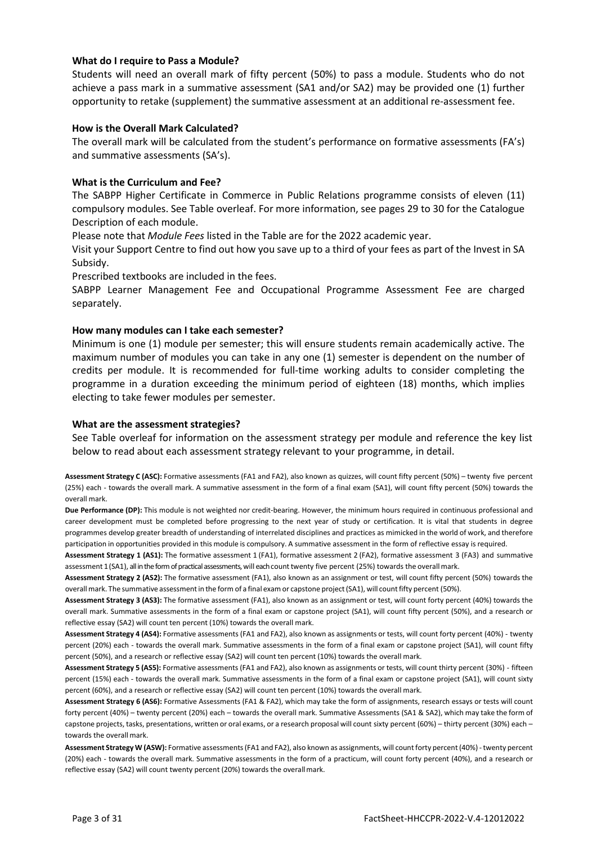### **What do I require to Pass a Module?**

Students will need an overall mark of fifty percent (50%) to pass a module. Students who do not achieve a pass mark in a summative assessment (SA1 and/or SA2) may be provided one (1) further opportunity to retake (supplement) the summative assessment at an additional re-assessment fee.

#### **How is the Overall Mark Calculated?**

The overall mark will be calculated from the student's performance on formative assessments (FA's) and summative assessments (SA's).

#### **What is the Curriculum and Fee?**

The SABPP Higher Certificate in Commerce in Public Relations programme consists of eleven (11) compulsory modules. See Table overleaf. For more information, see pages 29 to 30 for the Catalogue Description of each module.

Please note that *Module Fees* listed in the Table are for the 2022 academic year.

Visit your Support Centre to find out how you save up to a third of your fees as part of the Invest in SA Subsidy.

Prescribed textbooks are included in the fees.

SABPP Learner Management Fee and Occupational Programme Assessment Fee are charged separately.

#### **How many modules can I take each semester?**

Minimum is one (1) module per semester; this will ensure students remain academically active. The maximum number of modules you can take in any one (1) semester is dependent on the number of credits per module. It is recommended for full-time working adults to consider completing the programme in a duration exceeding the minimum period of eighteen (18) months, which implies electing to take fewer modules per semester.

#### **What are the assessment strategies?**

See Table overleaf for information on the assessment strategy per module and reference the key list below to read about each assessment strategy relevant to your programme, in detail.

**Assessment Strategy C (ASC):** Formative assessments (FA1 and FA2), also known as quizzes, will count fifty percent (50%) – twenty five percent (25%) each - towards the overall mark. A summative assessment in the form of a final exam (SA1), will count fifty percent (50%) towards the overall mark.

**Due Performance (DP):** This module is not weighted nor credit-bearing. However, the minimum hours required in continuous professional and career development must be completed before progressing to the next year of study or certification. It is vital that students in degree programmes develop greater breadth of understanding of interrelated disciplines and practices as mimicked in the world of work, and therefore participation in opportunities provided in this module is compulsory. A summative assessment in the form of reflective essay is required.

**Assessment Strategy 1 (AS1):** The formative assessment 1 (FA1), formative assessment 2 (FA2), formative assessment 3 (FA3) and summative assessment 1 (SA1), all in the form of practical assessments, will each count twenty five percent (25%) towards the overall mark.

**Assessment Strategy 2 (AS2):** The formative assessment (FA1), also known as an assignment or test, will count fifty percent (50%) towards the overall mark. The summative assessment in the form of a final exam or capstone project (SA1), will count fifty percent (50%).

**Assessment Strategy 3 (AS3):** The formative assessment (FA1), also known as an assignment or test, will count forty percent (40%) towards the overall mark. Summative assessments in the form of a final exam or capstone project (SA1), will count fifty percent (50%), and a research or reflective essay (SA2) will count ten percent (10%) towards the overall mark.

**Assessment Strategy 4 (AS4):** Formative assessments(FA1 and FA2), also known as assignments or tests, will count forty percent (40%) - twenty percent (20%) each - towards the overall mark. Summative assessments in the form of a final exam or capstone project (SA1), will count fifty percent (50%), and a research or reflective essay (SA2) will count ten percent (10%) towards the overall mark.

**Assessment Strategy 5 (AS5):** Formative assessments (FA1 and FA2), also known as assignments or tests, will count thirty percent (30%) - fifteen percent (15%) each - towards the overall mark. Summative assessments in the form of a final exam or capstone project (SA1), will count sixty percent (60%), and a research or reflective essay (SA2) will count ten percent (10%) towards the overall mark.

**Assessment Strategy 6 (AS6):** Formative Assessments (FA1 & FA2), which may take the form of assignments, research essays or tests will count forty percent (40%) – twenty percent (20%) each – towards the overall mark. Summative Assessments (SA1 & SA2), which may take the form of capstone projects, tasks, presentations, written or oral exams, or a research proposal will count sixty percent (60%) – thirty percent (30%) each – towards the overall mark.

**Assessment Strategy W (ASW):** Formative assessments (FA1 and FA2), also known as assignments, will count forty percent (40%) - twenty percent (20%) each - towards the overall mark. Summative assessments in the form of a practicum, will count forty percent (40%), and a research or reflective essay (SA2) will count twenty percent (20%) towards the overallmark.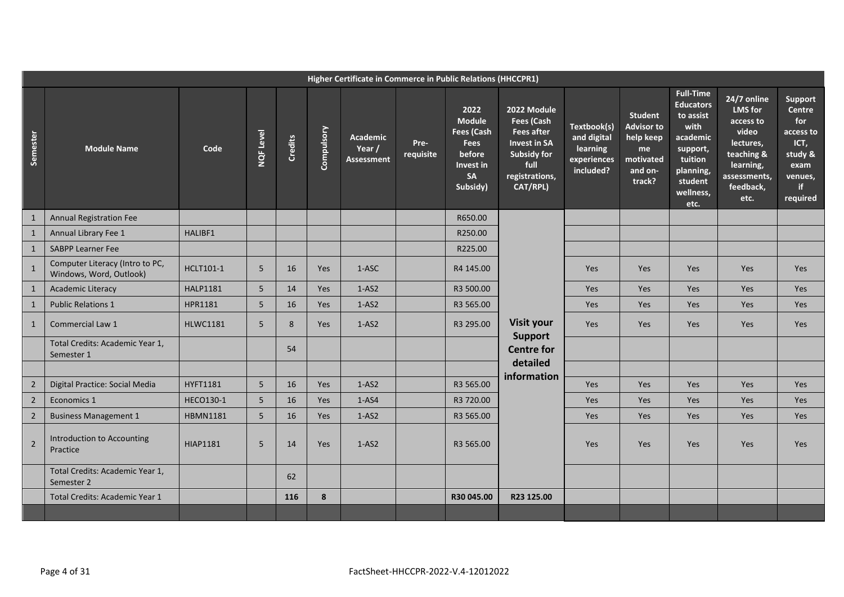|                | Higher Certificate in Commerce in Public Relations (HHCCPR1) |                 |           |                |            |                                                |                   |                                                                                                    |                                                                                                                                   |                                                                    |                                                                                          |                                                                                                                                           |                                                                                                                                  |                                                                                                       |
|----------------|--------------------------------------------------------------|-----------------|-----------|----------------|------------|------------------------------------------------|-------------------|----------------------------------------------------------------------------------------------------|-----------------------------------------------------------------------------------------------------------------------------------|--------------------------------------------------------------------|------------------------------------------------------------------------------------------|-------------------------------------------------------------------------------------------------------------------------------------------|----------------------------------------------------------------------------------------------------------------------------------|-------------------------------------------------------------------------------------------------------|
| Semester       | <b>Module Name</b>                                           | Code            | NQF Level | <b>Credits</b> | Compulsory | <b>Academic</b><br>Year /<br><b>Assessment</b> | Pre-<br>requisite | 2022<br><b>Module</b><br><b>Fees (Cash</b><br><b>Fees</b><br>before<br>Invest in<br>SA<br>Subsidy) | 2022 Module<br>Fees (Cash<br><b>Fees after</b><br><b>Invest in SA</b><br><b>Subsidy for</b><br>full<br>registrations,<br>CAT/RPL) | Textbook(s)<br>and digital<br>learning<br>experiences<br>included? | <b>Student</b><br><b>Advisor to</b><br>help keep<br>me<br>motivated<br>and on-<br>track? | <b>Full-Time</b><br><b>Educators</b><br>to assist<br>with<br>academic<br>support,<br>tuition<br>planning,<br>student<br>wellness,<br>etc. | 24/7 online<br><b>LMS</b> for<br>access to<br>video<br>lectures,<br>teaching &<br>learning,<br>assessments,<br>feedback,<br>etc. | <b>Support</b><br>Centre<br>for<br>access to<br>ICT,<br>study &<br>exam<br>venues,<br>if.<br>required |
| $\mathbf{1}$   | <b>Annual Registration Fee</b>                               |                 |           |                |            |                                                |                   | R650.00                                                                                            |                                                                                                                                   |                                                                    |                                                                                          |                                                                                                                                           |                                                                                                                                  |                                                                                                       |
| $\mathbf{1}$   | Annual Library Fee 1                                         | HALIBF1         |           |                |            |                                                |                   | R250.00                                                                                            |                                                                                                                                   |                                                                    |                                                                                          |                                                                                                                                           |                                                                                                                                  |                                                                                                       |
| $\mathbf{1}$   | <b>SABPP Learner Fee</b>                                     |                 |           |                |            |                                                |                   | R225.00                                                                                            |                                                                                                                                   |                                                                    |                                                                                          |                                                                                                                                           |                                                                                                                                  |                                                                                                       |
| $\mathbf{1}$   | Computer Literacy (Intro to PC,<br>Windows, Word, Outlook)   | HCLT101-1       | 5         | 16             | <b>Yes</b> | 1-ASC                                          |                   | R4 145.00                                                                                          |                                                                                                                                   | <b>Yes</b>                                                         | <b>Yes</b>                                                                               | Yes                                                                                                                                       | <b>Yes</b>                                                                                                                       | <b>Yes</b>                                                                                            |
| $\mathbf{1}$   | <b>Academic Literacy</b>                                     | <b>HALP1181</b> | 5         | 14             | Yes        | $1-AS2$                                        |                   | R3 500.00                                                                                          |                                                                                                                                   | Yes                                                                | Yes                                                                                      | Yes                                                                                                                                       | Yes                                                                                                                              | <b>Yes</b>                                                                                            |
| $\mathbf{1}$   | <b>Public Relations 1</b>                                    | HPR1181         | 5         | 16             | <b>Yes</b> | $1 - AS2$                                      |                   | R3 565.00                                                                                          |                                                                                                                                   | Yes                                                                | Yes                                                                                      | <b>Yes</b>                                                                                                                                | Yes                                                                                                                              | <b>Yes</b>                                                                                            |
| $\mathbf{1}$   | <b>Commercial Law 1</b>                                      | <b>HLWC1181</b> | 5         | 8              | <b>Yes</b> | $1 - AS2$                                      |                   | R3 295.00                                                                                          | <b>Visit your</b>                                                                                                                 | <b>Yes</b>                                                         | <b>Yes</b>                                                                               | Yes                                                                                                                                       | <b>Yes</b>                                                                                                                       | <b>Yes</b>                                                                                            |
|                | Total Credits: Academic Year 1,<br>Semester 1                |                 |           | 54             |            |                                                |                   |                                                                                                    | <b>Support</b><br><b>Centre for</b><br>detailed                                                                                   |                                                                    |                                                                                          |                                                                                                                                           |                                                                                                                                  |                                                                                                       |
|                |                                                              |                 |           |                |            |                                                |                   |                                                                                                    | information                                                                                                                       |                                                                    |                                                                                          |                                                                                                                                           |                                                                                                                                  |                                                                                                       |
| $\overline{2}$ | Digital Practice: Social Media                               | HYFT1181        | 5         | 16             | Yes        | $1 - AS2$                                      |                   | R3 565.00                                                                                          |                                                                                                                                   | <b>Yes</b>                                                         | Yes                                                                                      | Yes                                                                                                                                       | <b>Yes</b>                                                                                                                       | Yes                                                                                                   |
| $\overline{2}$ | Economics 1                                                  | HECO130-1       | 5         | 16             | Yes        | $1 - AS4$                                      |                   | R3 720.00                                                                                          |                                                                                                                                   | Yes                                                                | Yes                                                                                      | Yes                                                                                                                                       | Yes                                                                                                                              | Yes                                                                                                   |
| $\sqrt{2}$     | <b>Business Management 1</b>                                 | <b>HBMN1181</b> | 5         | 16             | Yes        | $1-AS2$                                        |                   | R3 565.00                                                                                          |                                                                                                                                   | Yes                                                                | Yes                                                                                      | Yes                                                                                                                                       | <b>Yes</b>                                                                                                                       | Yes                                                                                                   |
| $\overline{2}$ | Introduction to Accounting<br>Practice                       | <b>HIAP1181</b> | 5         | 14             | <b>Yes</b> | $1-AS2$                                        |                   | R3 565.00                                                                                          |                                                                                                                                   | <b>Yes</b>                                                         | <b>Yes</b>                                                                               | Yes                                                                                                                                       | Yes                                                                                                                              | <b>Yes</b>                                                                                            |
|                | Total Credits: Academic Year 1,<br>Semester 2                |                 |           | 62             |            |                                                |                   |                                                                                                    |                                                                                                                                   |                                                                    |                                                                                          |                                                                                                                                           |                                                                                                                                  |                                                                                                       |
|                | Total Credits: Academic Year 1                               |                 |           | 116            | 8          |                                                |                   | R30 045.00                                                                                         | R23 125.00                                                                                                                        |                                                                    |                                                                                          |                                                                                                                                           |                                                                                                                                  |                                                                                                       |
|                |                                                              |                 |           |                |            |                                                |                   |                                                                                                    |                                                                                                                                   |                                                                    |                                                                                          |                                                                                                                                           |                                                                                                                                  |                                                                                                       |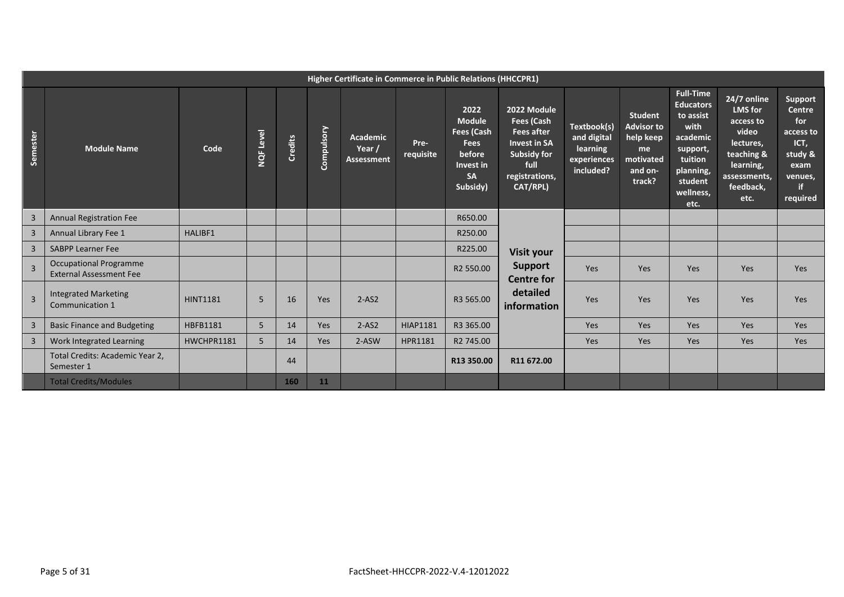|                | Higher Certificate in Commerce in Public Relations (HHCCPR1)    |                 |           |                |            |                                                |                   |                                                                                                    |                                                                                                                                   |                                                                    |                                                                                          |                                                                                                                                           |                                                                                                                                  |                                                                                                             |
|----------------|-----------------------------------------------------------------|-----------------|-----------|----------------|------------|------------------------------------------------|-------------------|----------------------------------------------------------------------------------------------------|-----------------------------------------------------------------------------------------------------------------------------------|--------------------------------------------------------------------|------------------------------------------------------------------------------------------|-------------------------------------------------------------------------------------------------------------------------------------------|----------------------------------------------------------------------------------------------------------------------------------|-------------------------------------------------------------------------------------------------------------|
| Semester       | <b>Module Name</b>                                              | Code            | NQF Level | <b>Credits</b> | Compulsory | <b>Academic</b><br>Year /<br><b>Assessment</b> | Pre-<br>requisite | 2022<br><b>Module</b><br>Fees (Cash<br><b>Fees</b><br>before<br>Invest in<br><b>SA</b><br>Subsidy) | 2022 Module<br>Fees (Cash<br><b>Fees after</b><br><b>Invest in SA</b><br><b>Subsidy for</b><br>full<br>registrations,<br>CAT/RPL) | Textbook(s)<br>and digital<br>learning<br>experiences<br>included? | <b>Student</b><br><b>Advisor to</b><br>help keep<br>me<br>motivated<br>and on-<br>track? | <b>Full-Time</b><br><b>Educators</b><br>to assist<br>with<br>academic<br>support,<br>tuition<br>planning,<br>student<br>wellness,<br>etc. | 24/7 online<br><b>LMS</b> for<br>access to<br>video<br>lectures,<br>teaching &<br>learning,<br>assessments,<br>feedback,<br>etc. | Support<br><b>Centre</b><br>for<br>access to<br>ICT,<br>study &<br>exam<br>venues,<br><b>if</b><br>required |
| 3              | <b>Annual Registration Fee</b>                                  |                 |           |                |            |                                                |                   | R650.00                                                                                            |                                                                                                                                   |                                                                    |                                                                                          |                                                                                                                                           |                                                                                                                                  |                                                                                                             |
| 3              | Annual Library Fee 1                                            | <b>HALIBF1</b>  |           |                |            |                                                |                   | R250.00                                                                                            |                                                                                                                                   |                                                                    |                                                                                          |                                                                                                                                           |                                                                                                                                  |                                                                                                             |
| $\mathsf{3}$   | <b>SABPP Learner Fee</b>                                        |                 |           |                |            |                                                |                   | R225.00                                                                                            | Visit your                                                                                                                        |                                                                    |                                                                                          |                                                                                                                                           |                                                                                                                                  |                                                                                                             |
| $\overline{3}$ | <b>Occupational Programme</b><br><b>External Assessment Fee</b> |                 |           |                |            |                                                |                   | R2 550.00                                                                                          | <b>Support</b><br><b>Centre for</b>                                                                                               | Yes                                                                | Yes                                                                                      | Yes                                                                                                                                       | Yes                                                                                                                              | Yes                                                                                                         |
| $\overline{3}$ | <b>Integrated Marketing</b><br>Communication 1                  | <b>HINT1181</b> | 5         | 16             | Yes        | $2-AS2$                                        |                   | R3 565.00                                                                                          | detailed<br>information                                                                                                           | Yes                                                                | Yes                                                                                      | Yes                                                                                                                                       | Yes                                                                                                                              | Yes                                                                                                         |
| 3              | <b>Basic Finance and Budgeting</b>                              | HBFB1181        | 5         | 14             | Yes        | $2-AS2$                                        | <b>HIAP1181</b>   | R3 365.00                                                                                          |                                                                                                                                   | Yes                                                                | <b>Yes</b>                                                                               | Yes                                                                                                                                       | Yes                                                                                                                              | Yes                                                                                                         |
| 3              | Work Integrated Learning                                        | HWCHPR1181      | 5         | 14             | Yes        | 2-ASW                                          | <b>HPR1181</b>    | R2 745.00                                                                                          |                                                                                                                                   | Yes                                                                | Yes                                                                                      | <b>Yes</b>                                                                                                                                | Yes                                                                                                                              | Yes                                                                                                         |
|                | Total Credits: Academic Year 2,<br>Semester 1                   |                 |           | 44             |            |                                                |                   | R13 350.00                                                                                         | R11 672.00                                                                                                                        |                                                                    |                                                                                          |                                                                                                                                           |                                                                                                                                  |                                                                                                             |
|                | <b>Total Credits/Modules</b>                                    |                 |           | 160            | 11         |                                                |                   |                                                                                                    |                                                                                                                                   |                                                                    |                                                                                          |                                                                                                                                           |                                                                                                                                  |                                                                                                             |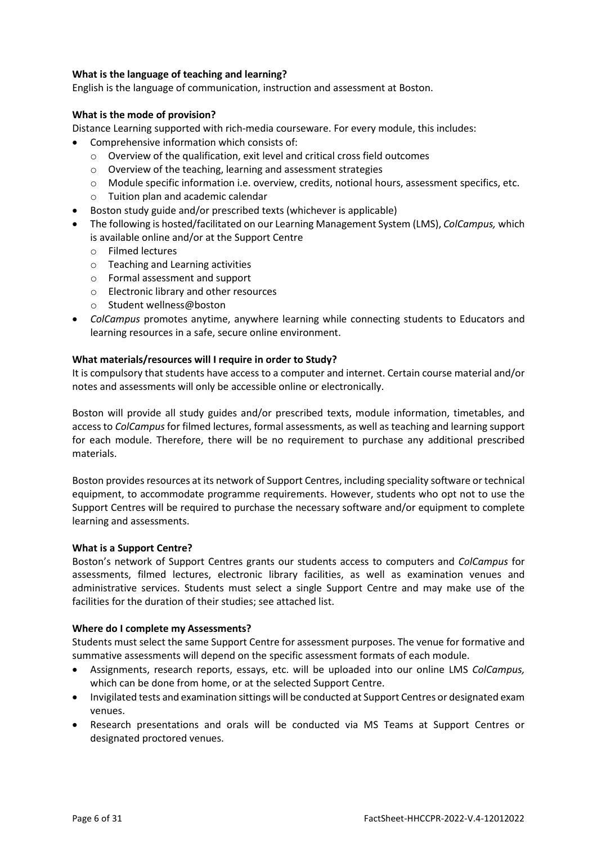# **What is the language of teaching and learning?**

English is the language of communication, instruction and assessment at Boston.

# **What is the mode of provision?**

Distance Learning supported with rich-media courseware. For every module, this includes:

- Comprehensive information which consists of:
	- o Overview of the qualification, exit level and critical cross field outcomes
	- o Overview of the teaching, learning and assessment strategies
	- o Module specific information i.e. overview, credits, notional hours, assessment specifics, etc.
	- o Tuition plan and academic calendar
- Boston study guide and/or prescribed texts (whichever is applicable)
- The following is hosted/facilitated on our Learning Management System (LMS), *ColCampus,* which is available online and/or at the Support Centre
	- o Filmed lectures
	- o Teaching and Learning activities
	- o Formal assessment and support
	- o Electronic library and other resources
	- o Student wellness@boston
- *ColCampus* promotes anytime, anywhere learning while connecting students to Educators and learning resources in a safe, secure online environment.

# **What materials/resources will I require in order to Study?**

It is compulsory that students have access to a computer and internet. Certain course material and/or notes and assessments will only be accessible online or electronically.

Boston will provide all study guides and/or prescribed texts, module information, timetables, and access to *ColCampus* for filmed lectures, formal assessments, as well as teaching and learning support for each module. Therefore, there will be no requirement to purchase any additional prescribed materials.

Boston provides resources at its network of Support Centres, including speciality software or technical equipment, to accommodate programme requirements. However, students who opt not to use the Support Centres will be required to purchase the necessary software and/or equipment to complete learning and assessments.

# **What is a Support Centre?**

Boston's network of Support Centres grants our students access to computers and *ColCampus* for assessments, filmed lectures, electronic library facilities, as well as examination venues and administrative services. Students must select a single Support Centre and may make use of the facilities for the duration of their studies; see attached list.

# **Where do I complete my Assessments?**

Students must select the same Support Centre for assessment purposes. The venue for formative and summative assessments will depend on the specific assessment formats of each module.

- Assignments, research reports, essays, etc. will be uploaded into our online LMS *ColCampus,* which can be done from home, or at the selected Support Centre.
- Invigilated tests and examination sittings will be conducted at Support Centres or designated exam venues.
- Research presentations and orals will be conducted via MS Teams at Support Centres or designated proctored venues.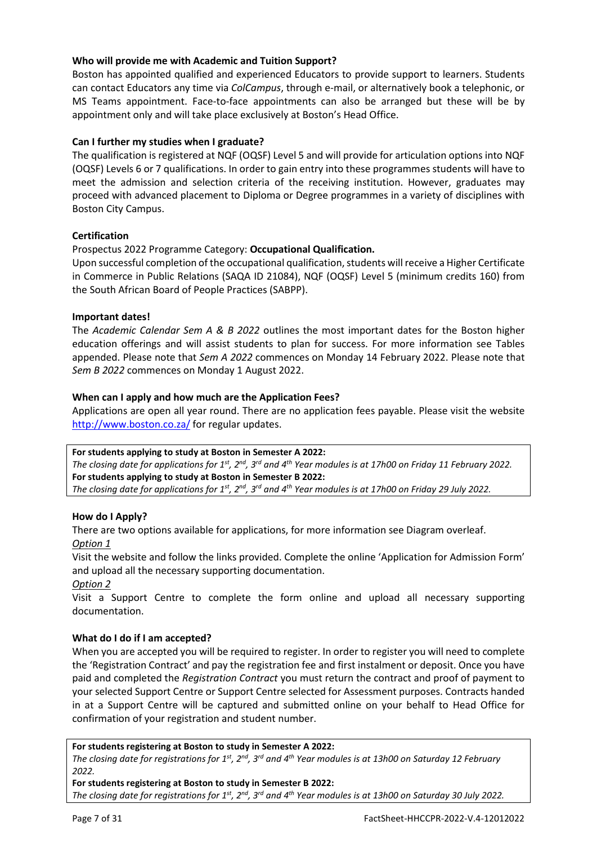# **Who will provide me with Academic and Tuition Support?**

Boston has appointed qualified and experienced Educators to provide support to learners. Students can contact Educators any time via *ColCampus*, through e-mail, or alternatively book a telephonic, or MS Teams appointment. Face-to-face appointments can also be arranged but these will be by appointment only and will take place exclusively at Boston's Head Office.

# **Can I further my studies when I graduate?**

The qualification is registered at NQF (OQSF) Level 5 and will provide for articulation options into NQF (OQSF) Levels 6 or 7 qualifications. In order to gain entry into these programmes students will have to meet the admission and selection criteria of the receiving institution. However, graduates may proceed with advanced placement to Diploma or Degree programmes in a variety of disciplines with Boston City Campus.

# **Certification**

Prospectus 2022 Programme Category: **Occupational Qualification.**

Upon successful completion of the occupational qualification, students will receive a Higher Certificate in Commerce in Public Relations (SAQA ID 21084), NQF (OQSF) Level 5 (minimum credits 160) from the South African Board of People Practices (SABPP).

# **Important dates!**

The *Academic Calendar Sem A & B 2022* outlines the most important dates for the Boston higher education offerings and will assist students to plan for success. For more information see Tables appended. Please note that *Sem A 2022* commences on Monday 14 February 2022. Please note that *Sem B 2022* commences on Monday 1 August 2022.

# **When can I apply and how much are the Application Fees?**

Applications are open all year round. There are no application fees payable. Please visit the website <http://www.boston.co.za/> for regular updates.

**For students applying to study at Boston in Semester A 2022:** *The closing date for applications for 1st, 2nd, 3rd and 4th Year modules is at 17h00 on Friday 11 February 2022.* **For students applying to study at Boston in Semester B 2022:** *The closing date for applications for 1st, 2nd, 3rd and 4th Year modules is at 17h00 on Friday 29 July 2022.*

# **How do I Apply?**

There are two options available for applications, for more information see Diagram overleaf. *Option 1*

Visit the website and follow the links provided. Complete the online 'Application for Admission Form' and upload all the necessary supporting documentation.

# *Option 2*

Visit a Support Centre to complete the form online and upload all necessary supporting documentation.

# **What do I do if I am accepted?**

When you are accepted you will be required to register. In order to register you will need to complete the 'Registration Contract' and pay the registration fee and first instalment or deposit. Once you have paid and completed the *Registration Contract* you must return the contract and proof of payment to your selected Support Centre or Support Centre selected for Assessment purposes. Contracts handed in at a Support Centre will be captured and submitted online on your behalf to Head Office for confirmation of your registration and student number.

**For students registering at Boston to study in Semester A 2022:**

*The closing date for registrations for 1st, 2nd, 3rd and 4th Year modules is at 13h00 on Saturday 12 February 2022.*

**For students registering at Boston to study in Semester B 2022:** *The closing date for registrations for 1st, 2nd, 3rd and 4th Year modules is at 13h00 on Saturday 30 July 2022.*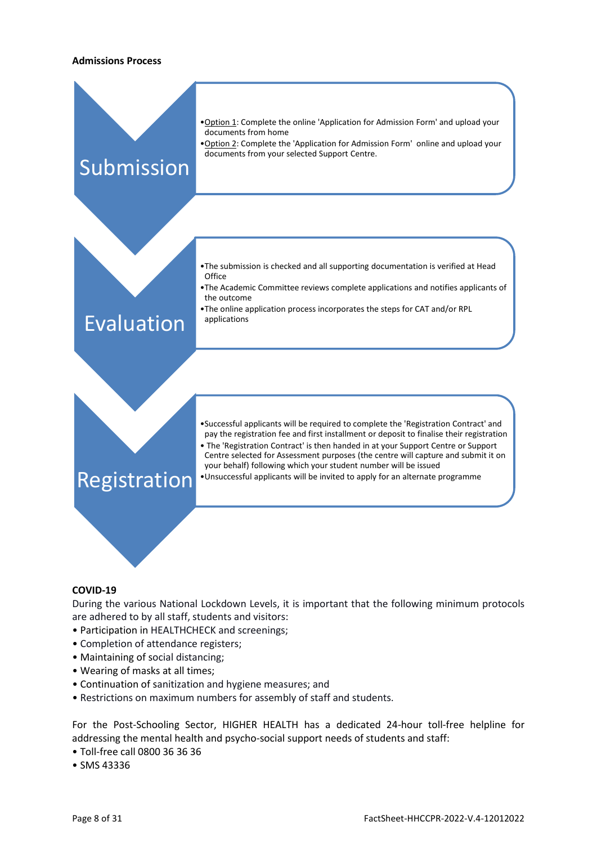#### **Admissions Process**

| Submission   | . Option 1: Complete the online 'Application for Admission Form' and upload your<br>documents from home<br>. Option 2: Complete the 'Application for Admission Form' online and upload your<br>documents from your selected Support Centre.                                                                                                                                                                                                                                                                    |
|--------------|----------------------------------------------------------------------------------------------------------------------------------------------------------------------------------------------------------------------------------------------------------------------------------------------------------------------------------------------------------------------------------------------------------------------------------------------------------------------------------------------------------------|
| Evaluation   | . The submission is checked and all supporting documentation is verified at Head<br>Office<br>• The Academic Committee reviews complete applications and notifies applicants of<br>the outcome<br>•The online application process incorporates the steps for CAT and/or RPL<br>applications                                                                                                                                                                                                                    |
| Registration | . Successful applicants will be required to complete the 'Registration Contract' and<br>pay the registration fee and first installment or deposit to finalise their registration<br>• The 'Registration Contract' is then handed in at your Support Centre or Support<br>Centre selected for Assessment purposes (the centre will capture and submit it on<br>your behalf) following which your student number will be issued<br>. Unsuccessful applicants will be invited to apply for an alternate programme |

#### for an alternate programme

# **COVID-19**

During the various National Lockdown Levels, it is important that the following minimum protocols are adhered to by all staff, students and visitors:

- Participation in HEALTHCHECK and screenings;
- Completion of attendance registers;
- Maintaining of social distancing;
- Wearing of masks at all times;
- Continuation of sanitization and hygiene measures; and
- Restrictions on maximum numbers for assembly of staff and students.

For the Post-Schooling Sector, HIGHER HEALTH has a dedicated 24-hour toll-free helpline for addressing the mental health and psycho-social support needs of students and staff:

- Toll-free call 0800 36 36 36
- SMS 43336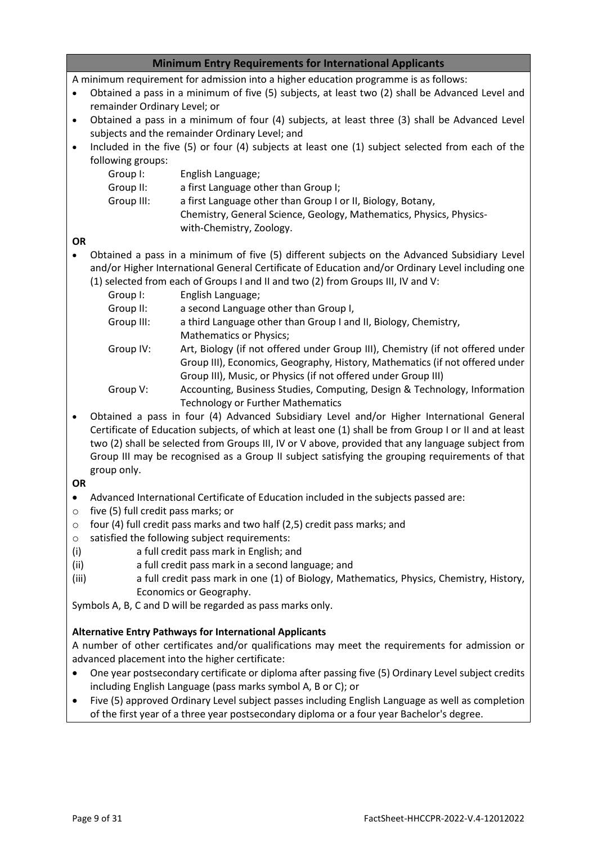# **Minimum Entry Requirements for International Applicants**

A minimum requirement for admission into a higher education programme is as follows:

- Obtained a pass in a minimum of five (5) subjects, at least two (2) shall be Advanced Level and remainder Ordinary Level; or
- Obtained a pass in a minimum of four (4) subjects, at least three (3) shall be Advanced Level subjects and the remainder Ordinary Level; and
- Included in the five (5) or four (4) subjects at least one (1) subject selected from each of the following groups:

| Group I:   | English Language;                                                   |
|------------|---------------------------------------------------------------------|
| Group II:  | a first Language other than Group I;                                |
| Group III: | a first Language other than Group I or II, Biology, Botany,         |
|            | Chemistry, General Science, Geology, Mathematics, Physics, Physics- |
|            | with-Chemistry, Zoology.                                            |

# **OR**

• Obtained a pass in a minimum of five (5) different subjects on the Advanced Subsidiary Level and/or Higher International General Certificate of Education and/or Ordinary Level including one (1) selected from each of Groups I and II and two (2) from Groups III, IV and V:

| Group I:   | English Language;                                                                                                     |
|------------|-----------------------------------------------------------------------------------------------------------------------|
| Group II:  | a second Language other than Group I,                                                                                 |
| Group III: | a third Language other than Group I and II, Biology, Chemistry,                                                       |
|            | <b>Mathematics or Physics;</b>                                                                                        |
| Group IV:  | Art, Biology (if not offered under Group III), Chemistry (if not offered under                                        |
|            | Group III), Economics, Geography, History, Mathematics (if not offered under                                          |
|            | Group III), Music, or Physics (if not offered under Group III)                                                        |
| Group V:   | Accounting, Business Studies, Computing, Design & Technology, Information<br><b>Technology or Further Mathematics</b> |
|            |                                                                                                                       |

• Obtained a pass in four (4) Advanced Subsidiary Level and/or Higher International General Certificate of Education subjects, of which at least one (1) shall be from Group I or II and at least two (2) shall be selected from Groups III, IV or V above, provided that any language subject from Group III may be recognised as a Group II subject satisfying the grouping requirements of that group only.

# **OR**

- Advanced International Certificate of Education included in the subjects passed are:
- o five (5) full credit pass marks; or
- o four (4) full credit pass marks and two half (2,5) credit pass marks; and
- o satisfied the following subject requirements:
- (i) a full credit pass mark in English; and
- (ii) a full credit pass mark in a second language; and
- (iii) a full credit pass mark in one (1) of Biology, Mathematics, Physics, Chemistry, History, Economics or Geography.

Symbols A, B, C and D will be regarded as pass marks only.

# **Alternative Entry Pathways for International Applicants**

A number of other certificates and/or qualifications may meet the requirements for admission or advanced placement into the higher certificate:

- One year postsecondary certificate or diploma after passing five (5) Ordinary Level subject credits including English Language (pass marks symbol A, B or C); or
- Five (5) approved Ordinary Level subject passes including English Language as well as completion of the first year of a three year postsecondary diploma or a four year Bachelor's degree.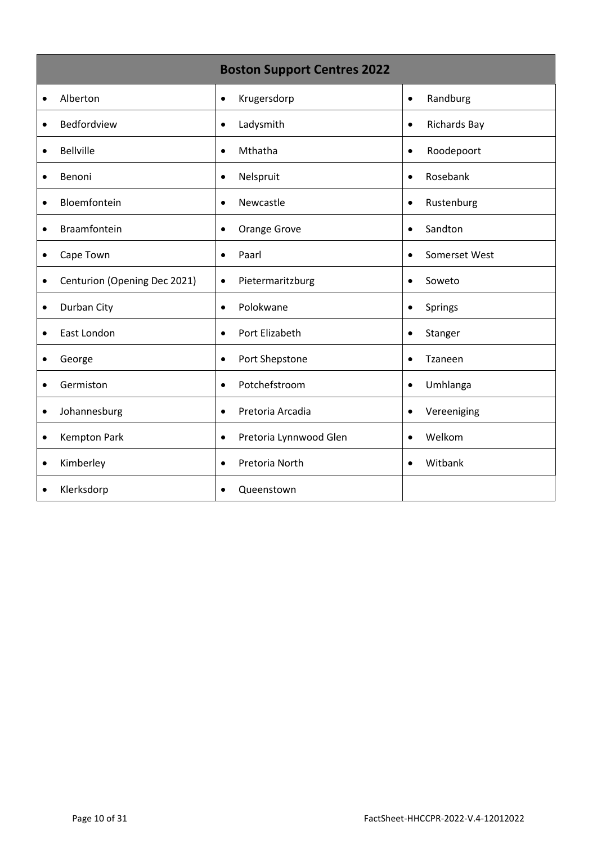|                                           | <b>Boston Support Centres 2022</b> |                     |
|-------------------------------------------|------------------------------------|---------------------|
| Alberton                                  | Krugersdorp                        | Randburg            |
| $\bullet$                                 | $\bullet$                          | $\bullet$           |
| Bedfordview                               | Ladysmith                          | <b>Richards Bay</b> |
| $\bullet$                                 | $\bullet$                          | $\bullet$           |
| <b>Bellville</b>                          | Mthatha                            | Roodepoort          |
| $\bullet$                                 | $\bullet$                          | $\bullet$           |
| Benoni                                    | Nelspruit                          | Rosebank            |
| $\bullet$                                 | $\bullet$                          | $\bullet$           |
| Bloemfontein                              | Newcastle                          | Rustenburg          |
| $\bullet$                                 | $\bullet$                          | $\bullet$           |
| Braamfontein                              | Orange Grove                       | Sandton             |
| $\bullet$                                 | $\bullet$                          | $\bullet$           |
| Cape Town                                 | Paarl                              | Somerset West       |
| $\bullet$                                 | $\bullet$                          | $\bullet$           |
| Centurion (Opening Dec 2021)<br>$\bullet$ | Pietermaritzburg<br>$\bullet$      | Soweto              |
| Durban City                               | Polokwane                          | Springs             |
| $\bullet$                                 | $\bullet$                          | $\bullet$           |
| East London                               | Port Elizabeth                     | Stanger             |
| $\bullet$                                 | $\bullet$                          | $\bullet$           |
| George                                    | Port Shepstone                     | Tzaneen             |
| $\bullet$                                 | $\bullet$                          | $\bullet$           |
| Germiston                                 | Potchefstroom                      | Umhlanga            |
| $\bullet$                                 | $\bullet$                          | $\bullet$           |
| Johannesburg                              | Pretoria Arcadia                   | Vereeniging         |
| $\bullet$                                 | $\bullet$                          | $\bullet$           |
| <b>Kempton Park</b>                       | Pretoria Lynnwood Glen             | Welkom              |
| $\bullet$                                 | $\bullet$                          | $\bullet$           |
| Kimberley                                 | Pretoria North                     | Witbank             |
| $\bullet$                                 | $\bullet$                          | $\bullet$           |
| Klerksdorp<br>$\bullet$                   | Queenstown<br>$\bullet$            |                     |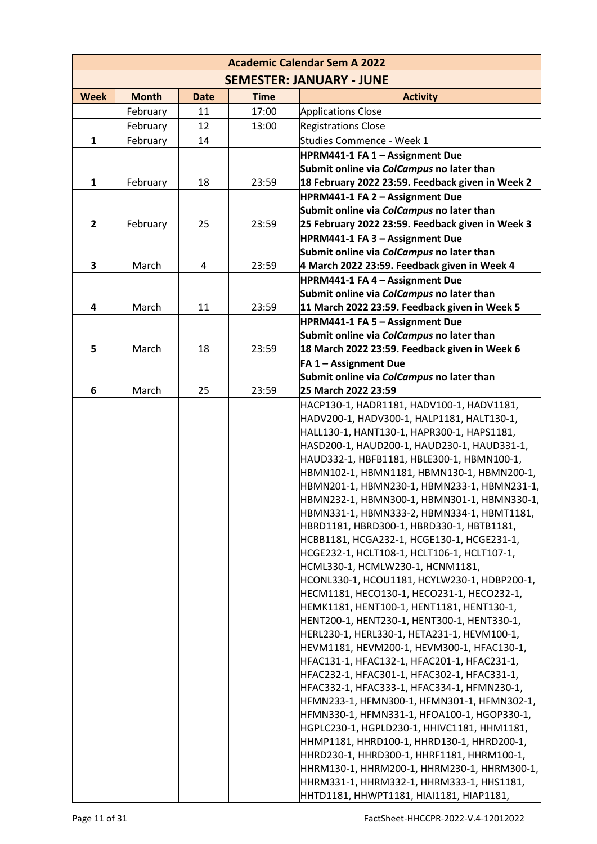| <b>Academic Calendar Sem A 2022</b> |              |             |             |                                                                                           |  |  |  |  |
|-------------------------------------|--------------|-------------|-------------|-------------------------------------------------------------------------------------------|--|--|--|--|
|                                     |              |             |             | <b>SEMESTER: JANUARY - JUNE</b>                                                           |  |  |  |  |
| <b>Week</b>                         | <b>Month</b> | <b>Date</b> | <b>Time</b> | <b>Activity</b>                                                                           |  |  |  |  |
|                                     | February     | 11          | 17:00       | <b>Applications Close</b>                                                                 |  |  |  |  |
|                                     | February     | 12          | 13:00       | <b>Registrations Close</b>                                                                |  |  |  |  |
| $\mathbf{1}$                        | February     | 14          |             | Studies Commence - Week 1                                                                 |  |  |  |  |
|                                     |              |             |             | HPRM441-1 FA 1 - Assignment Due                                                           |  |  |  |  |
|                                     |              |             |             | Submit online via ColCampus no later than                                                 |  |  |  |  |
| $\mathbf{1}$                        | February     | 18          | 23:59       | 18 February 2022 23:59. Feedback given in Week 2                                          |  |  |  |  |
|                                     |              |             |             | HPRM441-1 FA 2 - Assignment Due                                                           |  |  |  |  |
|                                     |              |             |             | Submit online via ColCampus no later than                                                 |  |  |  |  |
| $\overline{2}$                      | February     | 25          | 23:59       | 25 February 2022 23:59. Feedback given in Week 3                                          |  |  |  |  |
|                                     |              |             |             | HPRM441-1 FA 3 - Assignment Due                                                           |  |  |  |  |
|                                     |              |             |             | Submit online via ColCampus no later than                                                 |  |  |  |  |
| 3                                   | March        | 4           | 23:59       | 4 March 2022 23:59. Feedback given in Week 4                                              |  |  |  |  |
|                                     |              |             |             | HPRM441-1 FA 4 - Assignment Due                                                           |  |  |  |  |
|                                     |              |             |             | Submit online via ColCampus no later than                                                 |  |  |  |  |
| 4                                   | March        | 11          | 23:59       | 11 March 2022 23:59. Feedback given in Week 5                                             |  |  |  |  |
|                                     |              |             |             | HPRM441-1 FA 5 - Assignment Due                                                           |  |  |  |  |
|                                     |              |             |             | Submit online via ColCampus no later than                                                 |  |  |  |  |
| 5                                   | March        | 18          | 23:59       | 18 March 2022 23:59. Feedback given in Week 6                                             |  |  |  |  |
|                                     |              |             |             | FA 1 - Assignment Due                                                                     |  |  |  |  |
| 6                                   | March        | 25          | 23:59       | Submit online via ColCampus no later than<br>25 March 2022 23:59                          |  |  |  |  |
|                                     |              |             |             | HACP130-1, HADR1181, HADV100-1, HADV1181,                                                 |  |  |  |  |
|                                     |              |             |             | HADV200-1, HADV300-1, HALP1181, HALT130-1,                                                |  |  |  |  |
|                                     |              |             |             | HALL130-1, HANT130-1, HAPR300-1, HAPS1181,                                                |  |  |  |  |
|                                     |              |             |             | HASD200-1, HAUD200-1, HAUD230-1, HAUD331-1,                                               |  |  |  |  |
|                                     |              |             |             | HAUD332-1, HBFB1181, HBLE300-1, HBMN100-1,                                                |  |  |  |  |
|                                     |              |             |             | HBMN102-1, HBMN1181, HBMN130-1, HBMN200-1,                                                |  |  |  |  |
|                                     |              |             |             | HBMN201-1, HBMN230-1, HBMN233-1, HBMN231-1,                                               |  |  |  |  |
|                                     |              |             |             | HBMN232-1, HBMN300-1, HBMN301-1, HBMN330-1,                                               |  |  |  |  |
|                                     |              |             |             | HBMN331-1, HBMN333-2, HBMN334-1, HBMT1181,                                                |  |  |  |  |
|                                     |              |             |             | HBRD1181, HBRD300-1, HBRD330-1, HBTB1181,                                                 |  |  |  |  |
|                                     |              |             |             | HCBB1181, HCGA232-1, HCGE130-1, HCGE231-1,                                                |  |  |  |  |
|                                     |              |             |             | HCGE232-1, HCLT108-1, HCLT106-1, HCLT107-1,                                               |  |  |  |  |
|                                     |              |             |             | HCML330-1, HCMLW230-1, HCNM1181,                                                          |  |  |  |  |
|                                     |              |             |             | HCONL330-1, HCOU1181, HCYLW230-1, HDBP200-1,                                              |  |  |  |  |
|                                     |              |             |             | HECM1181, HECO130-1, HECO231-1, HECO232-1,                                                |  |  |  |  |
|                                     |              |             |             | HEMK1181, HENT100-1, HENT1181, HENT130-1,                                                 |  |  |  |  |
|                                     |              |             |             | HENT200-1, HENT230-1, HENT300-1, HENT330-1,                                               |  |  |  |  |
|                                     |              |             |             | HERL230-1, HERL330-1, HETA231-1, HEVM100-1,<br>HEVM1181, HEVM200-1, HEVM300-1, HFAC130-1, |  |  |  |  |
|                                     |              |             |             | HFAC131-1, HFAC132-1, HFAC201-1, HFAC231-1,                                               |  |  |  |  |
|                                     |              |             |             | HFAC232-1, HFAC301-1, HFAC302-1, HFAC331-1,                                               |  |  |  |  |
|                                     |              |             |             | HFAC332-1, HFAC333-1, HFAC334-1, HFMN230-1,                                               |  |  |  |  |
|                                     |              |             |             | HFMN233-1, HFMN300-1, HFMN301-1, HFMN302-1,                                               |  |  |  |  |
|                                     |              |             |             | HFMN330-1, HFMN331-1, HFOA100-1, HGOP330-1,                                               |  |  |  |  |
|                                     |              |             |             | HGPLC230-1, HGPLD230-1, HHIVC1181, HHM1181,                                               |  |  |  |  |
|                                     |              |             |             | HHMP1181, HHRD100-1, HHRD130-1, HHRD200-1,                                                |  |  |  |  |
|                                     |              |             |             | HHRD230-1, HHRD300-1, HHRF1181, HHRM100-1,                                                |  |  |  |  |
|                                     |              |             |             | HHRM130-1, HHRM200-1, HHRM230-1, HHRM300-1,                                               |  |  |  |  |
|                                     |              |             |             | HHRM331-1, HHRM332-1, HHRM333-1, HHS1181,                                                 |  |  |  |  |
|                                     |              |             |             | HHTD1181, HHWPT1181, HIAI1181, HIAP1181,                                                  |  |  |  |  |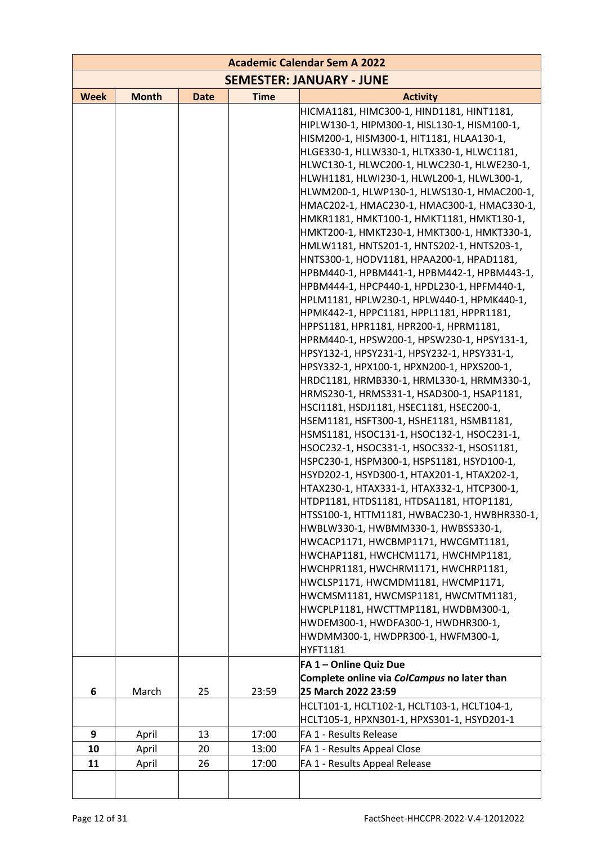| <b>Academic Calendar Sem A 2022</b> |              |             |             |                                                                                          |  |  |  |
|-------------------------------------|--------------|-------------|-------------|------------------------------------------------------------------------------------------|--|--|--|
|                                     |              |             |             | <b>SEMESTER: JANUARY - JUNE</b>                                                          |  |  |  |
| <b>Week</b>                         | <b>Month</b> | <b>Date</b> | <b>Time</b> | <b>Activity</b>                                                                          |  |  |  |
|                                     |              |             |             | HICMA1181, HIMC300-1, HIND1181, HINT1181,                                                |  |  |  |
|                                     |              |             |             | HIPLW130-1, HIPM300-1, HISL130-1, HISM100-1,                                             |  |  |  |
|                                     |              |             |             | HISM200-1, HISM300-1, HIT1181, HLAA130-1,                                                |  |  |  |
|                                     |              |             |             | HLGE330-1, HLLW330-1, HLTX330-1, HLWC1181,                                               |  |  |  |
|                                     |              |             |             | HLWC130-1, HLWC200-1, HLWC230-1, HLWE230-1,                                              |  |  |  |
|                                     |              |             |             | HLWH1181, HLWI230-1, HLWL200-1, HLWL300-1,                                               |  |  |  |
|                                     |              |             |             | HLWM200-1, HLWP130-1, HLWS130-1, HMAC200-1,                                              |  |  |  |
|                                     |              |             |             | HMAC202-1, HMAC230-1, HMAC300-1, HMAC330-1,                                              |  |  |  |
|                                     |              |             |             | HMKR1181, HMKT100-1, HMKT1181, HMKT130-1,                                                |  |  |  |
|                                     |              |             |             | HMKT200-1, HMKT230-1, HMKT300-1, HMKT330-1,                                              |  |  |  |
|                                     |              |             |             | HMLW1181, HNTS201-1, HNTS202-1, HNTS203-1,                                               |  |  |  |
|                                     |              |             |             | HNTS300-1, HODV1181, HPAA200-1, HPAD1181,<br>HPBM440-1, HPBM441-1, HPBM442-1, HPBM443-1, |  |  |  |
|                                     |              |             |             | HPBM444-1, HPCP440-1, HPDL230-1, HPFM440-1,                                              |  |  |  |
|                                     |              |             |             | HPLM1181, HPLW230-1, HPLW440-1, HPMK440-1,                                               |  |  |  |
|                                     |              |             |             | HPMK442-1, HPPC1181, HPPL1181, HPPR1181,                                                 |  |  |  |
|                                     |              |             |             | HPPS1181, HPR1181, HPR200-1, HPRM1181,                                                   |  |  |  |
|                                     |              |             |             | HPRM440-1, HPSW200-1, HPSW230-1, HPSY131-1,                                              |  |  |  |
|                                     |              |             |             | HPSY132-1, HPSY231-1, HPSY232-1, HPSY331-1,                                              |  |  |  |
|                                     |              |             |             | HPSY332-1, HPX100-1, HPXN200-1, HPXS200-1,                                               |  |  |  |
|                                     |              |             |             | HRDC1181, HRMB330-1, HRML330-1, HRMM330-1,                                               |  |  |  |
|                                     |              |             |             | HRMS230-1, HRMS331-1, HSAD300-1, HSAP1181,                                               |  |  |  |
|                                     |              |             |             | HSCI1181, HSDJ1181, HSEC1181, HSEC200-1,                                                 |  |  |  |
|                                     |              |             |             | HSEM1181, HSFT300-1, HSHE1181, HSMB1181,                                                 |  |  |  |
|                                     |              |             |             | HSMS1181, HSOC131-1, HSOC132-1, HSOC231-1,                                               |  |  |  |
|                                     |              |             |             | HSOC232-1, HSOC331-1, HSOC332-1, HSOS1181,                                               |  |  |  |
|                                     |              |             |             | HSPC230-1, HSPM300-1, HSPS1181, HSYD100-1,                                               |  |  |  |
|                                     |              |             |             | HSYD202-1, HSYD300-1, HTAX201-1, HTAX202-1,                                              |  |  |  |
|                                     |              |             |             | HTAX230-1, HTAX331-1, HTAX332-1, HTCP300-1,                                              |  |  |  |
|                                     |              |             |             | HTDP1181, HTDS1181, HTDSA1181, HTOP1181,                                                 |  |  |  |
|                                     |              |             |             | HTSS100-1, HTTM1181, HWBAC230-1, HWBHR330-1,                                             |  |  |  |
|                                     |              |             |             | HWBLW330-1, HWBMM330-1, HWBSS330-1,<br>HWCACP1171, HWCBMP1171, HWCGMT1181,               |  |  |  |
|                                     |              |             |             | HWCHAP1181, HWCHCM1171, HWCHMP1181,                                                      |  |  |  |
|                                     |              |             |             | HWCHPR1181, HWCHRM1171, HWCHRP1181,                                                      |  |  |  |
|                                     |              |             |             | HWCLSP1171, HWCMDM1181, HWCMP1171,                                                       |  |  |  |
|                                     |              |             |             | HWCMSM1181, HWCMSP1181, HWCMTM1181,                                                      |  |  |  |
|                                     |              |             |             | HWCPLP1181, HWCTTMP1181, HWDBM300-1,                                                     |  |  |  |
|                                     |              |             |             | HWDEM300-1, HWDFA300-1, HWDHR300-1,                                                      |  |  |  |
|                                     |              |             |             | HWDMM300-1, HWDPR300-1, HWFM300-1,                                                       |  |  |  |
|                                     |              |             |             | <b>HYFT1181</b>                                                                          |  |  |  |
|                                     |              |             |             | FA 1-Online Quiz Due                                                                     |  |  |  |
|                                     |              |             |             | Complete online via ColCampus no later than                                              |  |  |  |
| 6                                   | March        | 25          | 23:59       | 25 March 2022 23:59                                                                      |  |  |  |
|                                     |              |             |             | HCLT101-1, HCLT102-1, HCLT103-1, HCLT104-1,                                              |  |  |  |
|                                     |              |             |             | HCLT105-1, HPXN301-1, HPXS301-1, HSYD201-1                                               |  |  |  |
| 9                                   | April        | 13          | 17:00       | FA 1 - Results Release                                                                   |  |  |  |
| 10                                  | April        | 20          | 13:00       | FA 1 - Results Appeal Close                                                              |  |  |  |
| 11                                  | April        | 26          | 17:00       | FA 1 - Results Appeal Release                                                            |  |  |  |
|                                     |              |             |             |                                                                                          |  |  |  |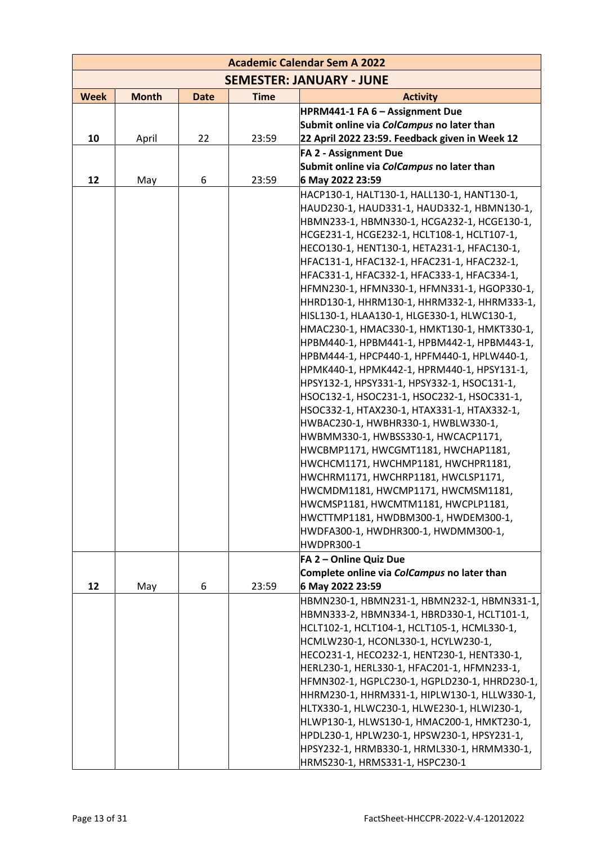| <b>Academic Calendar Sem A 2022</b> |              |             |             |                                                                                            |  |  |  |  |
|-------------------------------------|--------------|-------------|-------------|--------------------------------------------------------------------------------------------|--|--|--|--|
|                                     |              |             |             | <b>SEMESTER: JANUARY - JUNE</b>                                                            |  |  |  |  |
| <b>Week</b>                         | <b>Month</b> | <b>Date</b> | <b>Time</b> | <b>Activity</b>                                                                            |  |  |  |  |
|                                     |              |             |             | HPRM441-1 FA 6 - Assignment Due                                                            |  |  |  |  |
|                                     |              |             |             | Submit online via ColCampus no later than                                                  |  |  |  |  |
| 10                                  | April        | 22          | 23:59       | 22 April 2022 23:59. Feedback given in Week 12                                             |  |  |  |  |
|                                     |              |             |             | <b>FA 2 - Assignment Due</b>                                                               |  |  |  |  |
|                                     |              |             |             | Submit online via ColCampus no later than                                                  |  |  |  |  |
| 12                                  | May          | 6           | 23:59       | 6 May 2022 23:59                                                                           |  |  |  |  |
|                                     |              |             |             | HACP130-1, HALT130-1, HALL130-1, HANT130-1,                                                |  |  |  |  |
|                                     |              |             |             | HAUD230-1, HAUD331-1, HAUD332-1, HBMN130-1,                                                |  |  |  |  |
|                                     |              |             |             | HBMN233-1, HBMN330-1, HCGA232-1, HCGE130-1,                                                |  |  |  |  |
|                                     |              |             |             | HCGE231-1, HCGE232-1, HCLT108-1, HCLT107-1,                                                |  |  |  |  |
|                                     |              |             |             | HECO130-1, HENT130-1, HETA231-1, HFAC130-1,                                                |  |  |  |  |
|                                     |              |             |             | HFAC131-1, HFAC132-1, HFAC231-1, HFAC232-1,                                                |  |  |  |  |
|                                     |              |             |             | HFAC331-1, HFAC332-1, HFAC333-1, HFAC334-1,                                                |  |  |  |  |
|                                     |              |             |             | HFMN230-1, HFMN330-1, HFMN331-1, HGOP330-1,                                                |  |  |  |  |
|                                     |              |             |             | HHRD130-1, HHRM130-1, HHRM332-1, HHRM333-1,                                                |  |  |  |  |
|                                     |              |             |             | HISL130-1, HLAA130-1, HLGE330-1, HLWC130-1,                                                |  |  |  |  |
|                                     |              |             |             | HMAC230-1, HMAC330-1, HMKT130-1, HMKT330-1,                                                |  |  |  |  |
|                                     |              |             |             | HPBM440-1, HPBM441-1, HPBM442-1, HPBM443-1,                                                |  |  |  |  |
|                                     |              |             |             | HPBM444-1, HPCP440-1, HPFM440-1, HPLW440-1,                                                |  |  |  |  |
|                                     |              |             |             | HPMK440-1, HPMK442-1, HPRM440-1, HPSY131-1,<br>HPSY132-1, HPSY331-1, HPSY332-1, HSOC131-1, |  |  |  |  |
|                                     |              |             |             | HSOC132-1, HSOC231-1, HSOC232-1, HSOC331-1,                                                |  |  |  |  |
|                                     |              |             |             | HSOC332-1, HTAX230-1, HTAX331-1, HTAX332-1,                                                |  |  |  |  |
|                                     |              |             |             | HWBAC230-1, HWBHR330-1, HWBLW330-1,                                                        |  |  |  |  |
|                                     |              |             |             | HWBMM330-1, HWBSS330-1, HWCACP1171,                                                        |  |  |  |  |
|                                     |              |             |             | HWCBMP1171, HWCGMT1181, HWCHAP1181,                                                        |  |  |  |  |
|                                     |              |             |             | HWCHCM1171, HWCHMP1181, HWCHPR1181,                                                        |  |  |  |  |
|                                     |              |             |             | HWCHRM1171, HWCHRP1181, HWCLSP1171,                                                        |  |  |  |  |
|                                     |              |             |             | HWCMDM1181, HWCMP1171, HWCMSM1181,                                                         |  |  |  |  |
|                                     |              |             |             | HWCMSP1181, HWCMTM1181, HWCPLP1181,                                                        |  |  |  |  |
|                                     |              |             |             | HWCTTMP1181, HWDBM300-1, HWDEM300-1,                                                       |  |  |  |  |
|                                     |              |             |             | HWDFA300-1, HWDHR300-1, HWDMM300-1,                                                        |  |  |  |  |
|                                     |              |             |             | <b>HWDPR300-1</b>                                                                          |  |  |  |  |
|                                     |              |             |             | FA 2 - Online Quiz Due                                                                     |  |  |  |  |
|                                     |              |             |             | Complete online via ColCampus no later than                                                |  |  |  |  |
| 12                                  | May          | 6           | 23:59       | 6 May 2022 23:59                                                                           |  |  |  |  |
|                                     |              |             |             | HBMN230-1, HBMN231-1, HBMN232-1, HBMN331-1,                                                |  |  |  |  |
|                                     |              |             |             | HBMN333-2, HBMN334-1, HBRD330-1, HCLT101-1,                                                |  |  |  |  |
|                                     |              |             |             | HCLT102-1, HCLT104-1, HCLT105-1, HCML330-1,                                                |  |  |  |  |
|                                     |              |             |             | HCMLW230-1, HCONL330-1, HCYLW230-1,                                                        |  |  |  |  |
|                                     |              |             |             | HECO231-1, HECO232-1, HENT230-1, HENT330-1,                                                |  |  |  |  |
|                                     |              |             |             | HERL230-1, HERL330-1, HFAC201-1, HFMN233-1,                                                |  |  |  |  |
|                                     |              |             |             | HFMN302-1, HGPLC230-1, HGPLD230-1, HHRD230-1,                                              |  |  |  |  |
|                                     |              |             |             | HHRM230-1, HHRM331-1, HIPLW130-1, HLLW330-1,                                               |  |  |  |  |
|                                     |              |             |             | HLTX330-1, HLWC230-1, HLWE230-1, HLWI230-1,<br>HLWP130-1, HLWS130-1, HMAC200-1, HMKT230-1, |  |  |  |  |
|                                     |              |             |             | HPDL230-1, HPLW230-1, HPSW230-1, HPSY231-1,                                                |  |  |  |  |
|                                     |              |             |             | HPSY232-1, HRMB330-1, HRML330-1, HRMM330-1,                                                |  |  |  |  |
|                                     |              |             |             | HRMS230-1, HRMS331-1, HSPC230-1                                                            |  |  |  |  |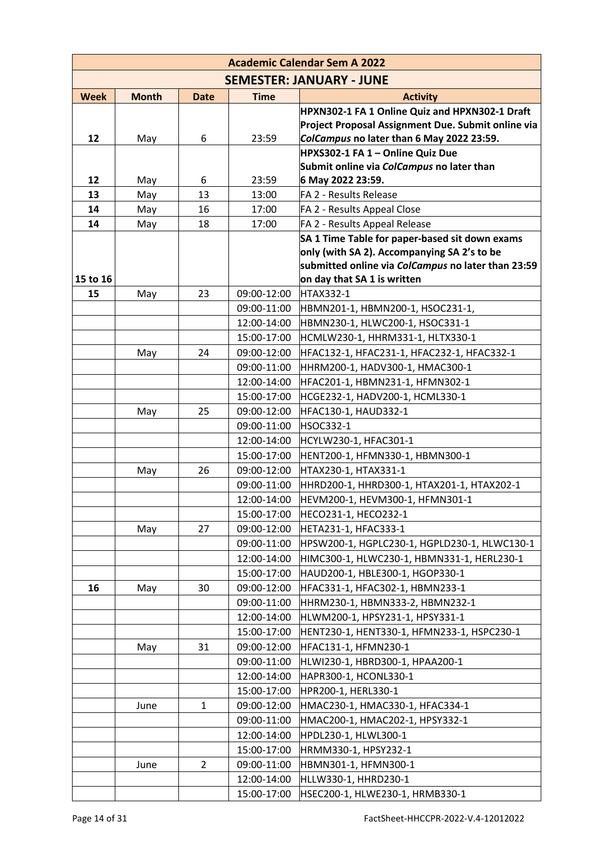| <b>Academic Calendar Sem A 2022</b> |              |              |             |                                                                                                   |  |  |  |  |
|-------------------------------------|--------------|--------------|-------------|---------------------------------------------------------------------------------------------------|--|--|--|--|
|                                     |              |              |             | <b>SEMESTER: JANUARY - JUNE</b>                                                                   |  |  |  |  |
| <b>Week</b>                         | <b>Month</b> | <b>Date</b>  | <b>Time</b> | <b>Activity</b>                                                                                   |  |  |  |  |
|                                     |              |              |             | HPXN302-1 FA 1 Online Quiz and HPXN302-1 Draft                                                    |  |  |  |  |
|                                     |              |              |             | Project Proposal Assignment Due. Submit online via                                                |  |  |  |  |
| 12                                  | May          | 6            | 23:59       | ColCampus no later than 6 May 2022 23:59.                                                         |  |  |  |  |
|                                     |              |              |             | HPXS302-1 FA 1 - Online Quiz Due                                                                  |  |  |  |  |
|                                     |              |              |             | Submit online via ColCampus no later than                                                         |  |  |  |  |
| 12                                  | May          | 6            | 23:59       | 6 May 2022 23:59.                                                                                 |  |  |  |  |
| 13                                  | May          | 13           | 13:00       | FA 2 - Results Release                                                                            |  |  |  |  |
| 14                                  | May          | 16           | 17:00       | FA 2 - Results Appeal Close                                                                       |  |  |  |  |
| 14                                  | May          | 18           | 17:00       | FA 2 - Results Appeal Release                                                                     |  |  |  |  |
|                                     |              |              |             | SA 1 Time Table for paper-based sit down exams                                                    |  |  |  |  |
|                                     |              |              |             | only (with SA 2). Accompanying SA 2's to be<br>submitted online via ColCampus no later than 23:59 |  |  |  |  |
| 15 to 16                            |              |              |             | on day that SA 1 is written                                                                       |  |  |  |  |
| 15                                  | May          | 23           | 09:00-12:00 | <b>HTAX332-1</b>                                                                                  |  |  |  |  |
|                                     |              |              | 09:00-11:00 | HBMN201-1, HBMN200-1, HSOC231-1,                                                                  |  |  |  |  |
|                                     |              |              | 12:00-14:00 | HBMN230-1, HLWC200-1, HSOC331-1                                                                   |  |  |  |  |
|                                     |              |              | 15:00-17:00 | HCMLW230-1, HHRM331-1, HLTX330-1                                                                  |  |  |  |  |
|                                     | May          | 24           | 09:00-12:00 | HFAC132-1, HFAC231-1, HFAC232-1, HFAC332-1                                                        |  |  |  |  |
|                                     |              |              | 09:00-11:00 | HHRM200-1, HADV300-1, HMAC300-1                                                                   |  |  |  |  |
|                                     |              |              | 12:00-14:00 | HFAC201-1, HBMN231-1, HFMN302-1                                                                   |  |  |  |  |
|                                     |              |              | 15:00-17:00 | HCGE232-1, HADV200-1, HCML330-1                                                                   |  |  |  |  |
|                                     | May          | 25           | 09:00-12:00 | HFAC130-1, HAUD332-1                                                                              |  |  |  |  |
|                                     |              |              | 09:00-11:00 | <b>HSOC332-1</b>                                                                                  |  |  |  |  |
|                                     |              |              | 12:00-14:00 | HCYLW230-1, HFAC301-1                                                                             |  |  |  |  |
|                                     |              |              | 15:00-17:00 | HENT200-1, HFMN330-1, HBMN300-1                                                                   |  |  |  |  |
|                                     | May          | 26           | 09:00-12:00 | HTAX230-1, HTAX331-1                                                                              |  |  |  |  |
|                                     |              |              | 09:00-11:00 | HHRD200-1, HHRD300-1, HTAX201-1, HTAX202-1                                                        |  |  |  |  |
|                                     |              |              | 12:00-14:00 | HEVM200-1, HEVM300-1, HFMN301-1                                                                   |  |  |  |  |
|                                     |              |              | 15:00-17:00 | HECO231-1, HECO232-1                                                                              |  |  |  |  |
|                                     | May          | 27           | 09:00-12:00 | HETA231-1, HFAC333-1                                                                              |  |  |  |  |
|                                     |              |              | 09:00-11:00 | HPSW200-1, HGPLC230-1, HGPLD230-1, HLWC130-1                                                      |  |  |  |  |
|                                     |              |              | 12:00-14:00 | HIMC300-1, HLWC230-1, HBMN331-1, HERL230-1                                                        |  |  |  |  |
|                                     |              |              | 15:00-17:00 | HAUD200-1, HBLE300-1, HGOP330-1                                                                   |  |  |  |  |
| 16                                  | May          | 30           | 09:00-12:00 | HFAC331-1, HFAC302-1, HBMN233-1                                                                   |  |  |  |  |
|                                     |              |              | 09:00-11:00 | HHRM230-1, HBMN333-2, HBMN232-1                                                                   |  |  |  |  |
|                                     |              |              | 12:00-14:00 | HLWM200-1, HPSY231-1, HPSY331-1                                                                   |  |  |  |  |
|                                     |              |              | 15:00-17:00 | HENT230-1, HENT330-1, HFMN233-1, HSPC230-1                                                        |  |  |  |  |
|                                     | May          | 31           | 09:00-12:00 | HFAC131-1, HFMN230-1                                                                              |  |  |  |  |
|                                     |              |              | 09:00-11:00 | HLWI230-1, HBRD300-1, HPAA200-1                                                                   |  |  |  |  |
|                                     |              |              | 12:00-14:00 | HAPR300-1, HCONL330-1                                                                             |  |  |  |  |
|                                     |              |              | 15:00-17:00 | HPR200-1, HERL330-1                                                                               |  |  |  |  |
|                                     | June         | $\mathbf{1}$ | 09:00-12:00 | HMAC230-1, HMAC330-1, HFAC334-1                                                                   |  |  |  |  |
|                                     |              |              | 09:00-11:00 | HMAC200-1, HMAC202-1, HPSY332-1                                                                   |  |  |  |  |
|                                     |              |              | 12:00-14:00 | HPDL230-1, HLWL300-1                                                                              |  |  |  |  |
|                                     |              |              | 15:00-17:00 | HRMM330-1, HPSY232-1                                                                              |  |  |  |  |
|                                     | June         | 2            | 09:00-11:00 | HBMN301-1, HFMN300-1                                                                              |  |  |  |  |
|                                     |              |              | 12:00-14:00 | HLLW330-1, HHRD230-1                                                                              |  |  |  |  |
|                                     |              |              | 15:00-17:00 | HSEC200-1, HLWE230-1, HRMB330-1                                                                   |  |  |  |  |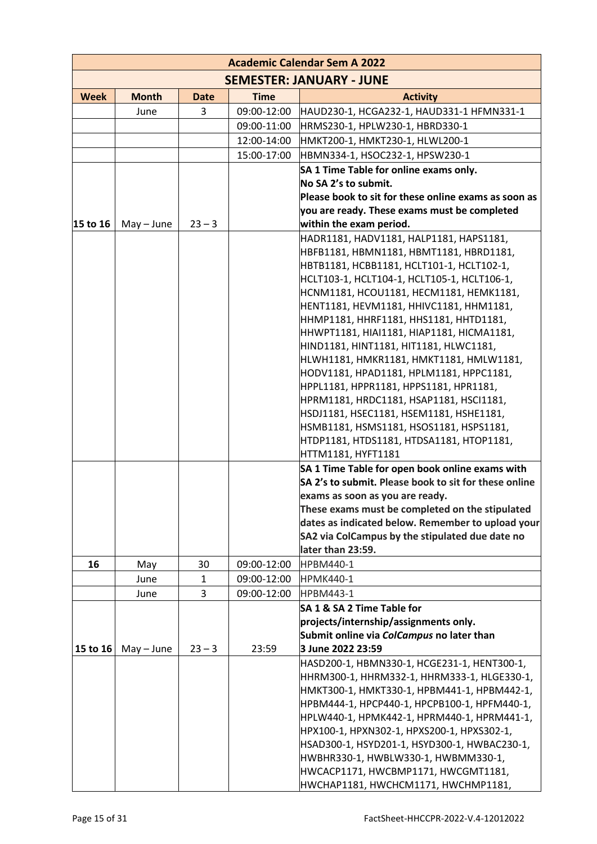| <b>Academic Calendar Sem A 2022</b> |              |              |             |                                                                                          |  |  |  |  |
|-------------------------------------|--------------|--------------|-------------|------------------------------------------------------------------------------------------|--|--|--|--|
|                                     |              |              |             | <b>SEMESTER: JANUARY - JUNE</b>                                                          |  |  |  |  |
| <b>Week</b>                         | <b>Month</b> | <b>Date</b>  | <b>Time</b> | <b>Activity</b>                                                                          |  |  |  |  |
|                                     | June         | 3            | 09:00-12:00 | HAUD230-1, HCGA232-1, HAUD331-1 HFMN331-1                                                |  |  |  |  |
|                                     |              |              | 09:00-11:00 | HRMS230-1, HPLW230-1, HBRD330-1                                                          |  |  |  |  |
|                                     |              |              | 12:00-14:00 | HMKT200-1, HMKT230-1, HLWL200-1                                                          |  |  |  |  |
|                                     |              |              | 15:00-17:00 | HBMN334-1, HSOC232-1, HPSW230-1                                                          |  |  |  |  |
|                                     |              |              |             | SA 1 Time Table for online exams only.                                                   |  |  |  |  |
|                                     |              |              |             | No SA 2's to submit.                                                                     |  |  |  |  |
|                                     |              |              |             | Please book to sit for these online exams as soon as                                     |  |  |  |  |
|                                     |              |              |             | you are ready. These exams must be completed                                             |  |  |  |  |
| 15 to 16                            | $May - June$ | $23 - 3$     |             | within the exam period.                                                                  |  |  |  |  |
|                                     |              |              |             | HADR1181, HADV1181, HALP1181, HAPS1181,                                                  |  |  |  |  |
|                                     |              |              |             | HBFB1181, HBMN1181, HBMT1181, HBRD1181,                                                  |  |  |  |  |
|                                     |              |              |             | HBTB1181, HCBB1181, HCLT101-1, HCLT102-1,<br>HCLT103-1, HCLT104-1, HCLT105-1, HCLT106-1, |  |  |  |  |
|                                     |              |              |             | HCNM1181, HCOU1181, HECM1181, HEMK1181,                                                  |  |  |  |  |
|                                     |              |              |             | HENT1181, HEVM1181, HHIVC1181, HHM1181,                                                  |  |  |  |  |
|                                     |              |              |             | HHMP1181, HHRF1181, HHS1181, HHTD1181,                                                   |  |  |  |  |
|                                     |              |              |             | HHWPT1181, HIAI1181, HIAP1181, HICMA1181,                                                |  |  |  |  |
|                                     |              |              |             | HIND1181, HINT1181, HIT1181, HLWC1181,                                                   |  |  |  |  |
|                                     |              |              |             | HLWH1181, HMKR1181, HMKT1181, HMLW1181,                                                  |  |  |  |  |
|                                     |              |              |             | HODV1181, HPAD1181, HPLM1181, HPPC1181,                                                  |  |  |  |  |
|                                     |              |              |             | HPPL1181, HPPR1181, HPPS1181, HPR1181,                                                   |  |  |  |  |
|                                     |              |              |             | HPRM1181, HRDC1181, HSAP1181, HSCI1181,                                                  |  |  |  |  |
|                                     |              |              |             | HSDJ1181, HSEC1181, HSEM1181, HSHE1181,                                                  |  |  |  |  |
|                                     |              |              |             | HSMB1181, HSMS1181, HSOS1181, HSPS1181,                                                  |  |  |  |  |
|                                     |              |              |             | HTDP1181, HTDS1181, HTDSA1181, HTOP1181,<br>HTTM1181, HYFT1181                           |  |  |  |  |
|                                     |              |              |             | SA 1 Time Table for open book online exams with                                          |  |  |  |  |
|                                     |              |              |             | SA 2's to submit. Please book to sit for these online                                    |  |  |  |  |
|                                     |              |              |             | exams as soon as you are ready.                                                          |  |  |  |  |
|                                     |              |              |             | These exams must be completed on the stipulated                                          |  |  |  |  |
|                                     |              |              |             | dates as indicated below. Remember to upload your                                        |  |  |  |  |
|                                     |              |              |             | SA2 via ColCampus by the stipulated due date no                                          |  |  |  |  |
|                                     |              |              |             | later than 23:59.                                                                        |  |  |  |  |
| 16                                  | May          | 30           | 09:00-12:00 | HPBM440-1                                                                                |  |  |  |  |
|                                     | June         | $\mathbf{1}$ | 09:00-12:00 | <b>HPMK440-1</b>                                                                         |  |  |  |  |
|                                     | June         | 3            | 09:00-12:00 | <b>HPBM443-1</b>                                                                         |  |  |  |  |
|                                     |              |              |             | SA 1 & SA 2 Time Table for                                                               |  |  |  |  |
|                                     |              |              |             | projects/internship/assignments only.                                                    |  |  |  |  |
| 15 to 16                            | $May - June$ | $23 - 3$     | 23:59       | Submit online via ColCampus no later than<br>3 June 2022 23:59                           |  |  |  |  |
|                                     |              |              |             | HASD200-1, HBMN330-1, HCGE231-1, HENT300-1,                                              |  |  |  |  |
|                                     |              |              |             | HHRM300-1, HHRM332-1, HHRM333-1, HLGE330-1,                                              |  |  |  |  |
|                                     |              |              |             | НМКТ300-1, НМКТ330-1, НРВМ441-1, НРВМ442-1,                                              |  |  |  |  |
|                                     |              |              |             | НРВМ444-1, НРСР440-1, НРСРВ100-1, НРЕМ440-1,                                             |  |  |  |  |
|                                     |              |              |             | HPLW440-1, HPMK442-1, HPRM440-1, HPRM441-1,                                              |  |  |  |  |
|                                     |              |              |             | HPX100-1, HPXN302-1, HPXS200-1, HPXS302-1,                                               |  |  |  |  |
|                                     |              |              |             | HSAD300-1, HSYD201-1, HSYD300-1, HWBAC230-1,                                             |  |  |  |  |
|                                     |              |              |             | HWBHR330-1, HWBLW330-1, HWBMM330-1,                                                      |  |  |  |  |
|                                     |              |              |             | HWCACP1171, HWCBMP1171, HWCGMT1181,                                                      |  |  |  |  |
|                                     |              |              |             | HWCHAP1181, HWCHCM1171, HWCHMP1181,                                                      |  |  |  |  |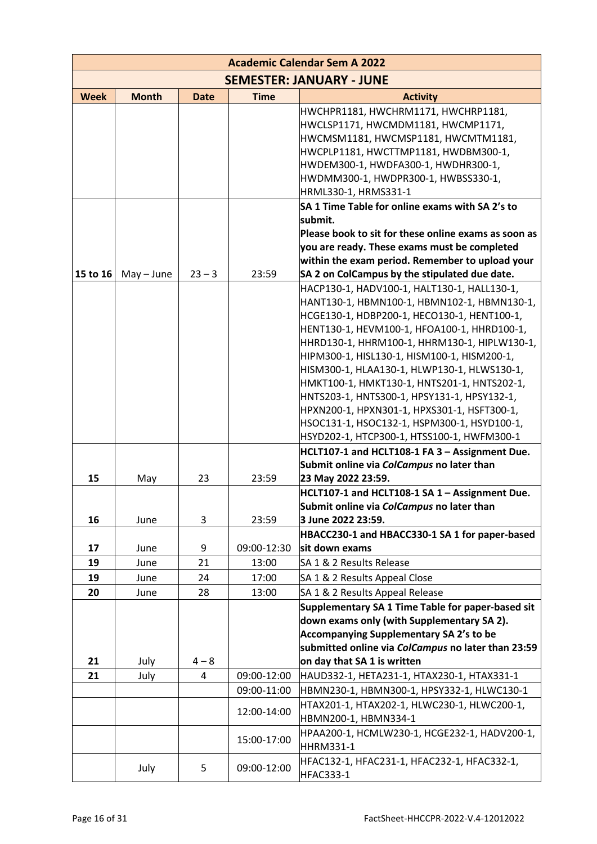| <b>Academic Calendar Sem A 2022</b> |              |             |             |                                                                                             |  |  |  |  |
|-------------------------------------|--------------|-------------|-------------|---------------------------------------------------------------------------------------------|--|--|--|--|
|                                     |              |             |             | <b>SEMESTER: JANUARY - JUNE</b>                                                             |  |  |  |  |
| <b>Week</b>                         | <b>Month</b> | <b>Date</b> | <b>Time</b> | <b>Activity</b>                                                                             |  |  |  |  |
|                                     |              |             |             | HWCHPR1181, HWCHRM1171, HWCHRP1181,                                                         |  |  |  |  |
|                                     |              |             |             | HWCLSP1171, HWCMDM1181, HWCMP1171,                                                          |  |  |  |  |
|                                     |              |             |             | HWCMSM1181, HWCMSP1181, HWCMTM1181,                                                         |  |  |  |  |
|                                     |              |             |             | HWCPLP1181, HWCTTMP1181, HWDBM300-1,                                                        |  |  |  |  |
|                                     |              |             |             | HWDEM300-1, HWDFA300-1, HWDHR300-1,                                                         |  |  |  |  |
|                                     |              |             |             | HWDMM300-1, HWDPR300-1, HWBSS330-1,                                                         |  |  |  |  |
|                                     |              |             |             | HRML330-1, HRMS331-1                                                                        |  |  |  |  |
|                                     |              |             |             | SA 1 Time Table for online exams with SA 2's to                                             |  |  |  |  |
|                                     |              |             |             | submit.<br>Please book to sit for these online exams as soon as                             |  |  |  |  |
|                                     |              |             |             | you are ready. These exams must be completed                                                |  |  |  |  |
|                                     |              |             |             | within the exam period. Remember to upload your                                             |  |  |  |  |
| 15 to 16                            | $May - June$ | $23 - 3$    | 23:59       | SA 2 on ColCampus by the stipulated due date.                                               |  |  |  |  |
|                                     |              |             |             | HACP130-1, HADV100-1, HALT130-1, HALL130-1,                                                 |  |  |  |  |
|                                     |              |             |             | HANT130-1, HBMN100-1, HBMN102-1, HBMN130-1,                                                 |  |  |  |  |
|                                     |              |             |             | HCGE130-1, HDBP200-1, HECO130-1, HENT100-1,                                                 |  |  |  |  |
|                                     |              |             |             | HENT130-1, HEVM100-1, HFOA100-1, HHRD100-1,                                                 |  |  |  |  |
|                                     |              |             |             | HHRD130-1, HHRM100-1, HHRM130-1, HIPLW130-1,                                                |  |  |  |  |
|                                     |              |             |             | HIPM300-1, HISL130-1, HISM100-1, HISM200-1,                                                 |  |  |  |  |
|                                     |              |             |             | HISM300-1, HLAA130-1, HLWP130-1, HLWS130-1,                                                 |  |  |  |  |
|                                     |              |             |             | HMKT100-1, HMKT130-1, HNTS201-1, HNTS202-1,                                                 |  |  |  |  |
|                                     |              |             |             | HNTS203-1, HNTS300-1, HPSY131-1, HPSY132-1,                                                 |  |  |  |  |
|                                     |              |             |             | HPXN200-1, HPXN301-1, HPXS301-1, HSFT300-1,                                                 |  |  |  |  |
|                                     |              |             |             | HSOC131-1, HSOC132-1, HSPM300-1, HSYD100-1,                                                 |  |  |  |  |
|                                     |              |             |             | HSYD202-1, HTCP300-1, HTSS100-1, HWFM300-1                                                  |  |  |  |  |
|                                     |              |             |             | HCLT107-1 and HCLT108-1 FA 3 - Assignment Due.                                              |  |  |  |  |
|                                     |              |             |             | Submit online via ColCampus no later than                                                   |  |  |  |  |
| 15                                  | May          | 23          | 23:59       | 23 May 2022 23:59.                                                                          |  |  |  |  |
|                                     |              |             |             | HCLT107-1 and HCLT108-1 SA 1 - Assignment Due.<br>Submit online via ColCampus no later than |  |  |  |  |
| 16                                  | June         | 3           | 23:59       | 3 June 2022 23:59.                                                                          |  |  |  |  |
|                                     |              |             |             | HBACC230-1 and HBACC330-1 SA 1 for paper-based                                              |  |  |  |  |
| 17                                  | June         | 9           | 09:00-12:30 | sit down exams                                                                              |  |  |  |  |
| 19                                  | June         | 21          | 13:00       | SA 1 & 2 Results Release                                                                    |  |  |  |  |
| 19                                  | June         | 24          | 17:00       | SA 1 & 2 Results Appeal Close                                                               |  |  |  |  |
| 20                                  | June         | 28          | 13:00       | SA 1 & 2 Results Appeal Release                                                             |  |  |  |  |
|                                     |              |             |             | Supplementary SA 1 Time Table for paper-based sit                                           |  |  |  |  |
|                                     |              |             |             | down exams only (with Supplementary SA 2).                                                  |  |  |  |  |
|                                     |              |             |             | Accompanying Supplementary SA 2's to be                                                     |  |  |  |  |
|                                     |              |             |             | submitted online via ColCampus no later than 23:59                                          |  |  |  |  |
| 21                                  | July         | $4 - 8$     |             | on day that SA 1 is written                                                                 |  |  |  |  |
| 21                                  | July         | 4           | 09:00-12:00 | HAUD332-1, HETA231-1, HTAX230-1, HTAX331-1                                                  |  |  |  |  |
|                                     |              |             | 09:00-11:00 | HBMN230-1, HBMN300-1, HPSY332-1, HLWC130-1                                                  |  |  |  |  |
|                                     |              |             | 12:00-14:00 | HTAX201-1, HTAX202-1, HLWC230-1, HLWC200-1,<br>HBMN200-1, HBMN334-1                         |  |  |  |  |
|                                     |              |             |             | HPAA200-1, HCMLW230-1, HCGE232-1, HADV200-1,                                                |  |  |  |  |
|                                     |              |             | 15:00-17:00 | HHRM331-1                                                                                   |  |  |  |  |
|                                     |              |             |             | HFAC132-1, HFAC231-1, HFAC232-1, HFAC332-1,                                                 |  |  |  |  |
|                                     | July         | 5           | 09:00-12:00 | <b>HFAC333-1</b>                                                                            |  |  |  |  |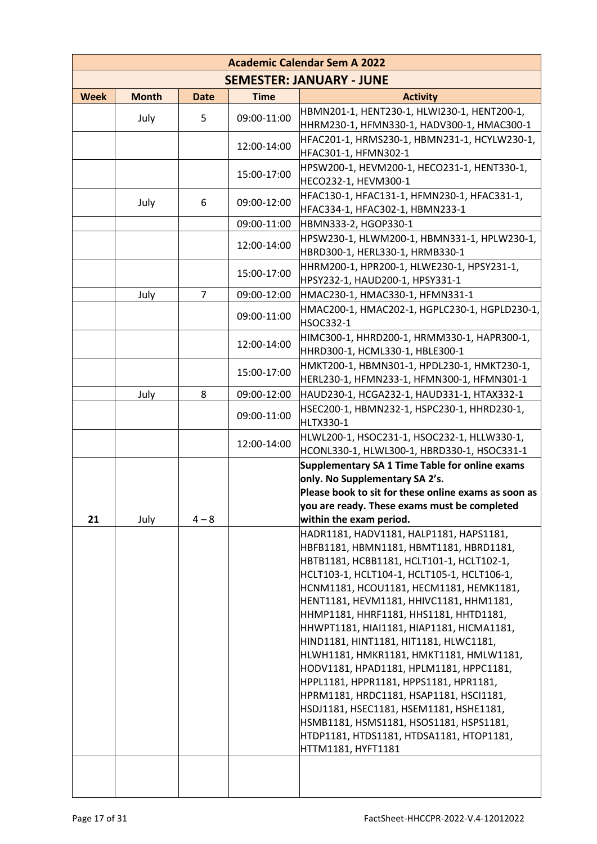|             |              |             |             | <b>Academic Calendar Sem A 2022</b>                                                        |
|-------------|--------------|-------------|-------------|--------------------------------------------------------------------------------------------|
|             |              |             |             | <b>SEMESTER: JANUARY - JUNE</b>                                                            |
| <b>Week</b> | <b>Month</b> | <b>Date</b> | <b>Time</b> | <b>Activity</b>                                                                            |
|             | July         | 5           | 09:00-11:00 | HBMN201-1, HENT230-1, HLWI230-1, HENT200-1,                                                |
|             |              |             |             | HHRM230-1, HFMN330-1, HADV300-1, HMAC300-1                                                 |
|             |              |             | 12:00-14:00 | HFAC201-1, HRMS230-1, HBMN231-1, HCYLW230-1,<br>HFAC301-1, HFMN302-1                       |
|             |              |             | 15:00-17:00 | HPSW200-1, HEVM200-1, HECO231-1, HENT330-1,<br>HECO232-1, HEVM300-1                        |
|             | July         | 6           | 09:00-12:00 | HFAC130-1, HFAC131-1, HFMN230-1, HFAC331-1,<br>HFAC334-1, HFAC302-1, HBMN233-1             |
|             |              |             | 09:00-11:00 | HBMN333-2, HGOP330-1                                                                       |
|             |              |             | 12:00-14:00 | HPSW230-1, HLWM200-1, HBMN331-1, HPLW230-1,<br>HBRD300-1, HERL330-1, HRMB330-1             |
|             |              |             | 15:00-17:00 | HHRM200-1, HPR200-1, HLWE230-1, HPSY231-1,<br>HPSY232-1, HAUD200-1, HPSY331-1              |
|             | July         | 7           | 09:00-12:00 | HMAC230-1, HMAC330-1, HFMN331-1                                                            |
|             |              |             | 09:00-11:00 | HMAC200-1, HMAC202-1, HGPLC230-1, HGPLD230-1,<br><b>HSOC332-1</b>                          |
|             |              |             | 12:00-14:00 | HIMC300-1, HHRD200-1, HRMM330-1, HAPR300-1,<br>HHRD300-1, HCML330-1, HBLE300-1             |
|             |              |             | 15:00-17:00 | HMKT200-1, HBMN301-1, HPDL230-1, HMKT230-1,<br>HERL230-1, HFMN233-1, HFMN300-1, HFMN301-1  |
|             | July         | 8           | 09:00-12:00 | HAUD230-1, HCGA232-1, HAUD331-1, HTAX332-1                                                 |
|             |              |             | 09:00-11:00 | HSEC200-1, HBMN232-1, HSPC230-1, HHRD230-1,<br>HLTX330-1                                   |
|             |              |             | 12:00-14:00 | HLWL200-1, HSOC231-1, HSOC232-1, HLLW330-1,<br>HCONL330-1, HLWL300-1, HBRD330-1, HSOC331-1 |
|             |              |             |             | Supplementary SA 1 Time Table for online exams<br>only. No Supplementary SA 2's.           |
|             |              |             |             | Please book to sit for these online exams as soon as                                       |
| 21          | July         | $4 - 8$     |             | you are ready. These exams must be completed<br>within the exam period.                    |
|             |              |             |             | HADR1181, HADV1181, HALP1181, HAPS1181,                                                    |
|             |              |             |             | HBFB1181, HBMN1181, HBMT1181, HBRD1181,                                                    |
|             |              |             |             | HBTB1181, HCBB1181, HCLT101-1, HCLT102-1,                                                  |
|             |              |             |             | HCLT103-1, HCLT104-1, HCLT105-1, HCLT106-1,                                                |
|             |              |             |             | HCNM1181, HCOU1181, HECM1181, HEMK1181,<br>HENT1181, HEVM1181, HHIVC1181, HHM1181,         |
|             |              |             |             | HHMP1181, HHRF1181, HHS1181, HHTD1181,                                                     |
|             |              |             |             | HHWPT1181, HIAI1181, HIAP1181, HICMA1181,                                                  |
|             |              |             |             | HIND1181, HINT1181, HIT1181, HLWC1181,                                                     |
|             |              |             |             | HLWH1181, HMKR1181, HMKT1181, HMLW1181,                                                    |
|             |              |             |             | HODV1181, HPAD1181, HPLM1181, HPPC1181,<br>HPPL1181, HPPR1181, HPPS1181, HPR1181,          |
|             |              |             |             | HPRM1181, HRDC1181, HSAP1181, HSCI1181,                                                    |
|             |              |             |             | HSDJ1181, HSEC1181, HSEM1181, HSHE1181,                                                    |
|             |              |             |             | HSMB1181, HSMS1181, HSOS1181, HSPS1181,                                                    |
|             |              |             |             | HTDP1181, HTDS1181, HTDSA1181, HTOP1181,<br>HTTM1181, HYFT1181                             |
|             |              |             |             |                                                                                            |
|             |              |             |             |                                                                                            |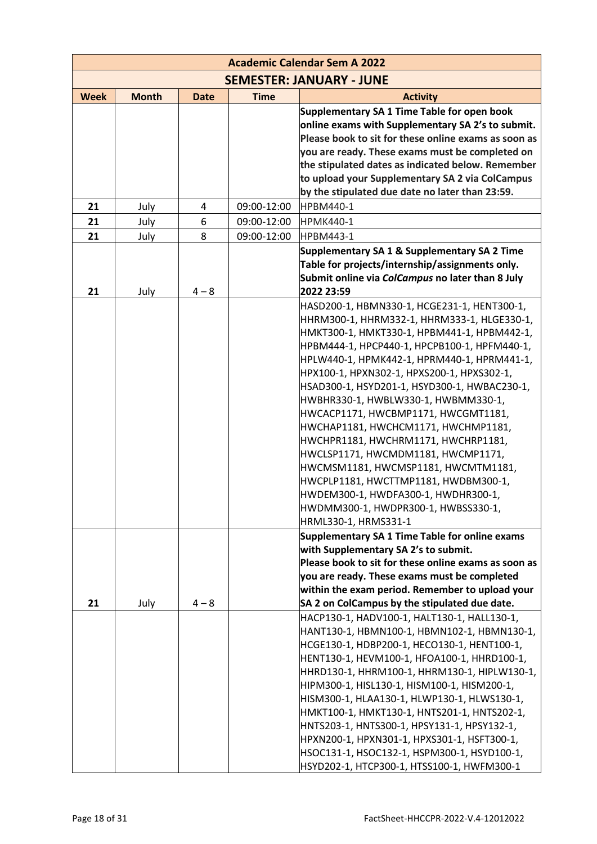|             | <b>Academic Calendar Sem A 2022</b> |                |             |                                                             |  |
|-------------|-------------------------------------|----------------|-------------|-------------------------------------------------------------|--|
|             |                                     |                |             | <b>SEMESTER: JANUARY - JUNE</b>                             |  |
| <b>Week</b> | <b>Month</b>                        | <b>Date</b>    | <b>Time</b> | <b>Activity</b>                                             |  |
|             |                                     |                |             | Supplementary SA 1 Time Table for open book                 |  |
|             |                                     |                |             | online exams with Supplementary SA 2's to submit.           |  |
|             |                                     |                |             | Please book to sit for these online exams as soon as        |  |
|             |                                     |                |             | you are ready. These exams must be completed on             |  |
|             |                                     |                |             | the stipulated dates as indicated below. Remember           |  |
|             |                                     |                |             | to upload your Supplementary SA 2 via ColCampus             |  |
|             |                                     |                |             | by the stipulated due date no later than 23:59.             |  |
| 21          | July                                | $\overline{4}$ | 09:00-12:00 | <b>HPBM440-1</b>                                            |  |
| 21          | July                                | 6              | 09:00-12:00 | <b>HPMK440-1</b>                                            |  |
| 21          | July                                | 8              | 09:00-12:00 | <b>HPBM443-1</b>                                            |  |
|             |                                     |                |             | Supplementary SA 1 & Supplementary SA 2 Time                |  |
|             |                                     |                |             | Table for projects/internship/assignments only.             |  |
|             |                                     |                |             | Submit online via ColCampus no later than 8 July            |  |
| 21          | July                                | $4 - 8$        |             | 2022 23:59                                                  |  |
|             |                                     |                |             | HASD200-1, HBMN330-1, HCGE231-1, HENT300-1,                 |  |
|             |                                     |                |             | HHRM300-1, HHRM332-1, HHRM333-1, HLGE330-1,                 |  |
|             |                                     |                |             | НМКТЗОО-1, НМКТЗЗО-1, НРВМ441-1, НРВМ442-1,                 |  |
|             |                                     |                |             | НРВМ444-1, НРСР440-1, НРСРВ100-1, НРЕМ440-1,                |  |
|             |                                     |                |             | HPLW440-1, HPMK442-1, HPRM440-1, HPRM441-1,                 |  |
|             |                                     |                |             | HPX100-1, HPXN302-1, HPXS200-1, HPXS302-1,                  |  |
|             |                                     |                |             | HSAD300-1, HSYD201-1, HSYD300-1, HWBAC230-1,                |  |
|             |                                     |                |             | HWBHR330-1, HWBLW330-1, HWBMM330-1,                         |  |
|             |                                     |                |             | HWCACP1171, HWCBMP1171, HWCGMT1181,                         |  |
|             |                                     |                |             | HWCHAP1181, HWCHCM1171, HWCHMP1181,                         |  |
|             |                                     |                |             | HWCHPR1181, HWCHRM1171, HWCHRP1181,                         |  |
|             |                                     |                |             | HWCLSP1171, HWCMDM1181, HWCMP1171,                          |  |
|             |                                     |                |             | HWCMSM1181, HWCMSP1181, HWCMTM1181,                         |  |
|             |                                     |                |             | HWCPLP1181, HWCTTMP1181, HWDBM300-1,                        |  |
|             |                                     |                |             | HWDEM300-1, HWDFA300-1, HWDHR300-1,                         |  |
|             |                                     |                |             | HWDMM300-1, HWDPR300-1, HWBSS330-1,<br>HRML330-1, HRMS331-1 |  |
|             |                                     |                |             | Supplementary SA 1 Time Table for online exams              |  |
|             |                                     |                |             | with Supplementary SA 2's to submit.                        |  |
|             |                                     |                |             | Please book to sit for these online exams as soon as        |  |
|             |                                     |                |             | you are ready. These exams must be completed                |  |
|             |                                     |                |             | within the exam period. Remember to upload your             |  |
| 21          | July                                | $4 - 8$        |             | SA 2 on ColCampus by the stipulated due date.               |  |
|             |                                     |                |             | HACP130-1, HADV100-1, HALT130-1, HALL130-1,                 |  |
|             |                                     |                |             | HANT130-1, HBMN100-1, HBMN102-1, HBMN130-1,                 |  |
|             |                                     |                |             | HCGE130-1, HDBP200-1, HECO130-1, HENT100-1,                 |  |
|             |                                     |                |             | HENT130-1, HEVM100-1, HFOA100-1, HHRD100-1,                 |  |
|             |                                     |                |             | HHRD130-1, HHRM100-1, HHRM130-1, HIPLW130-1,                |  |
|             |                                     |                |             | HIPM300-1, HISL130-1, HISM100-1, HISM200-1,                 |  |
|             |                                     |                |             | HISM300-1, HLAA130-1, HLWP130-1, HLWS130-1,                 |  |
|             |                                     |                |             | HMKT100-1, HMKT130-1, HNTS201-1, HNTS202-1,                 |  |
|             |                                     |                |             | HNTS203-1, HNTS300-1, HPSY131-1, HPSY132-1,                 |  |
|             |                                     |                |             | HPXN200-1, HPXN301-1, HPXS301-1, HSFT300-1,                 |  |
|             |                                     |                |             | HSOC131-1, HSOC132-1, HSPM300-1, HSYD100-1,                 |  |
|             |                                     |                |             | HSYD202-1, HTCP300-1, HTSS100-1, HWFM300-1                  |  |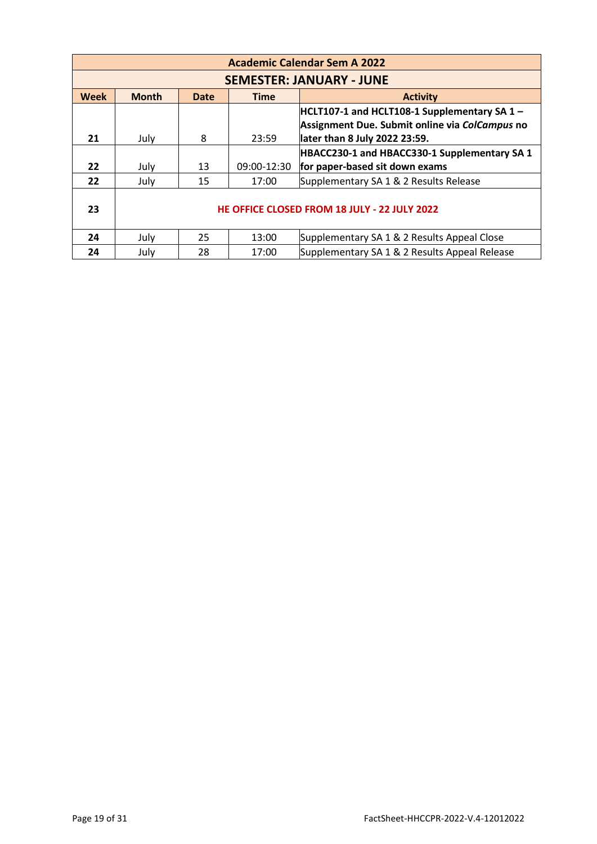|             | <b>Academic Calendar Sem A 2022</b>          |      |             |                                                                                                                                    |  |  |
|-------------|----------------------------------------------|------|-------------|------------------------------------------------------------------------------------------------------------------------------------|--|--|
|             |                                              |      |             | <b>SEMESTER: JANUARY - JUNE</b>                                                                                                    |  |  |
| <b>Week</b> | <b>Month</b>                                 | Date | <b>Time</b> | <b>Activity</b>                                                                                                                    |  |  |
| 21          | July                                         | 8    | 23:59       | $ HCLT107-1$ and HCLT108-1 Supplementary SA 1 -<br>Assignment Due. Submit online via ColCampus no<br>later than 8 July 2022 23:59. |  |  |
|             |                                              |      |             | HBACC230-1 and HBACC330-1 Supplementary SA 1                                                                                       |  |  |
| 22          | July                                         | 13   | 09:00-12:30 | for paper-based sit down exams                                                                                                     |  |  |
| 22          | July                                         | 15   | 17:00       | Supplementary SA 1 & 2 Results Release                                                                                             |  |  |
| 23          | HE OFFICE CLOSED FROM 18 JULY - 22 JULY 2022 |      |             |                                                                                                                                    |  |  |
| 24          | July                                         | 25   | 13:00       | Supplementary SA 1 & 2 Results Appeal Close                                                                                        |  |  |
| 24          | July                                         | 28   | 17:00       | Supplementary SA 1 & 2 Results Appeal Release                                                                                      |  |  |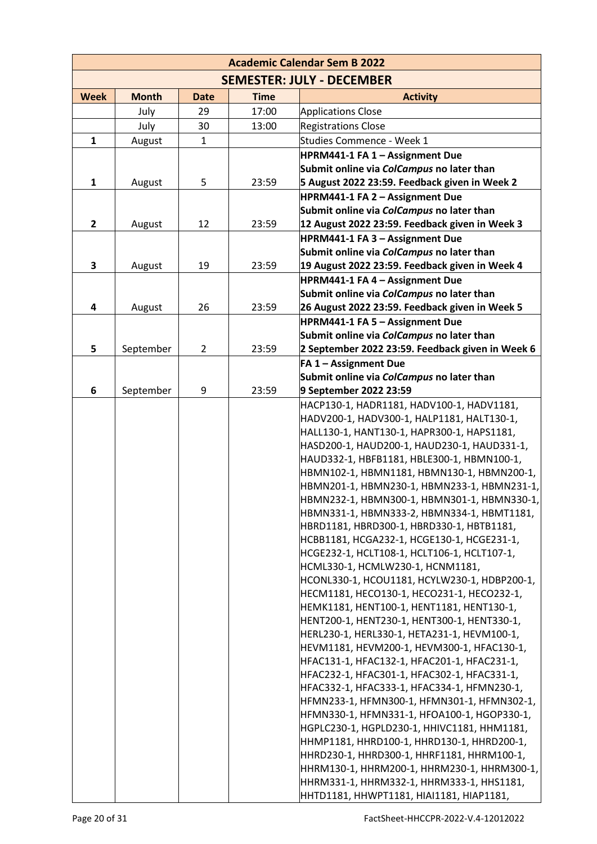|              | <b>Academic Calendar Sem B 2022</b> |                |             |                                                                                            |  |
|--------------|-------------------------------------|----------------|-------------|--------------------------------------------------------------------------------------------|--|
|              |                                     |                |             | <b>SEMESTER: JULY - DECEMBER</b>                                                           |  |
| <b>Week</b>  | <b>Month</b>                        | <b>Date</b>    | <b>Time</b> | <b>Activity</b>                                                                            |  |
|              | July                                | 29             | 17:00       | <b>Applications Close</b>                                                                  |  |
|              | July                                | 30             | 13:00       | <b>Registrations Close</b>                                                                 |  |
| $\mathbf{1}$ | August                              | $\mathbf{1}$   |             | Studies Commence - Week 1                                                                  |  |
|              |                                     |                |             | HPRM441-1 FA 1 - Assignment Due                                                            |  |
|              |                                     |                |             | Submit online via ColCampus no later than                                                  |  |
| $\mathbf{1}$ | August                              | 5              | 23:59       | 5 August 2022 23:59. Feedback given in Week 2                                              |  |
|              |                                     |                |             | HPRM441-1 FA 2 - Assignment Due                                                            |  |
|              |                                     |                |             | Submit online via ColCampus no later than                                                  |  |
| 2            | August                              | 12             | 23:59       | 12 August 2022 23:59. Feedback given in Week 3                                             |  |
|              |                                     |                |             | HPRM441-1 FA 3 - Assignment Due                                                            |  |
|              |                                     |                |             | Submit online via ColCampus no later than                                                  |  |
| 3            | August                              | 19             | 23:59       | 19 August 2022 23:59. Feedback given in Week 4                                             |  |
|              |                                     |                |             | HPRM441-1 FA 4 - Assignment Due                                                            |  |
|              |                                     |                |             | Submit online via ColCampus no later than                                                  |  |
| 4            | August                              | 26             | 23:59       | 26 August 2022 23:59. Feedback given in Week 5                                             |  |
|              |                                     |                |             | HPRM441-1 FA 5 - Assignment Due<br>Submit online via ColCampus no later than               |  |
| 5            | September                           | $\overline{2}$ | 23:59       | 2 September 2022 23:59. Feedback given in Week 6                                           |  |
|              |                                     |                |             | <b>FA 1 - Assignment Due</b>                                                               |  |
|              |                                     |                |             | Submit online via ColCampus no later than                                                  |  |
| 6            | September                           | 9              | 23:59       | 9 September 2022 23:59                                                                     |  |
|              |                                     |                |             | HACP130-1, HADR1181, HADV100-1, HADV1181,                                                  |  |
|              |                                     |                |             | HADV200-1, HADV300-1, HALP1181, HALT130-1,                                                 |  |
|              |                                     |                |             | HALL130-1, HANT130-1, HAPR300-1, HAPS1181,                                                 |  |
|              |                                     |                |             | HASD200-1, HAUD200-1, HAUD230-1, HAUD331-1,                                                |  |
|              |                                     |                |             | HAUD332-1, HBFB1181, HBLE300-1, HBMN100-1,                                                 |  |
|              |                                     |                |             | HBMN102-1, HBMN1181, HBMN130-1, HBMN200-1,                                                 |  |
|              |                                     |                |             | HBMN201-1, HBMN230-1, HBMN233-1, HBMN231-1,                                                |  |
|              |                                     |                |             | HBMN232-1, HBMN300-1, HBMN301-1, HBMN330-1,                                                |  |
|              |                                     |                |             | HBMN331-1, HBMN333-2, HBMN334-1, HBMT1181,                                                 |  |
|              |                                     |                |             | HBRD1181, HBRD300-1, HBRD330-1, HBTB1181,                                                  |  |
|              |                                     |                |             | HCBB1181, HCGA232-1, HCGE130-1, HCGE231-1,                                                 |  |
|              |                                     |                |             | HCGE232-1, HCLT108-1, HCLT106-1, HCLT107-1,                                                |  |
|              |                                     |                |             | HCML330-1, HCMLW230-1, HCNM1181,                                                           |  |
|              |                                     |                |             | HCONL330-1, HCOU1181, HCYLW230-1, HDBP200-1,<br>HECM1181, HECO130-1, HECO231-1, HECO232-1, |  |
|              |                                     |                |             | HEMK1181, HENT100-1, HENT1181, HENT130-1,                                                  |  |
|              |                                     |                |             | HENT200-1, HENT230-1, HENT300-1, HENT330-1,                                                |  |
|              |                                     |                |             | HERL230-1, HERL330-1, HETA231-1, HEVM100-1,                                                |  |
|              |                                     |                |             | HEVM1181, HEVM200-1, HEVM300-1, HFAC130-1,                                                 |  |
|              |                                     |                |             | HFAC131-1, HFAC132-1, HFAC201-1, HFAC231-1,                                                |  |
|              |                                     |                |             | HFAC232-1, HFAC301-1, HFAC302-1, HFAC331-1,                                                |  |
|              |                                     |                |             | HFAC332-1, HFAC333-1, HFAC334-1, HFMN230-1,                                                |  |
|              |                                     |                |             | HFMN233-1, HFMN300-1, HFMN301-1, HFMN302-1,                                                |  |
|              |                                     |                |             | HFMN330-1, HFMN331-1, HFOA100-1, HGOP330-1,                                                |  |
|              |                                     |                |             | HGPLC230-1, HGPLD230-1, HHIVC1181, HHM1181,                                                |  |
|              |                                     |                |             | HHMP1181, HHRD100-1, HHRD130-1, HHRD200-1,                                                 |  |
|              |                                     |                |             | HHRD230-1, HHRD300-1, HHRF1181, HHRM100-1,                                                 |  |
|              |                                     |                |             | HHRM130-1, HHRM200-1, HHRM230-1, HHRM300-1,                                                |  |
|              |                                     |                |             |                                                                                            |  |
|              |                                     |                |             | HHRM331-1, HHRM332-1, HHRM333-1, HHS1181,<br>HHTD1181, HHWPT1181, HIAI1181, HIAP1181,      |  |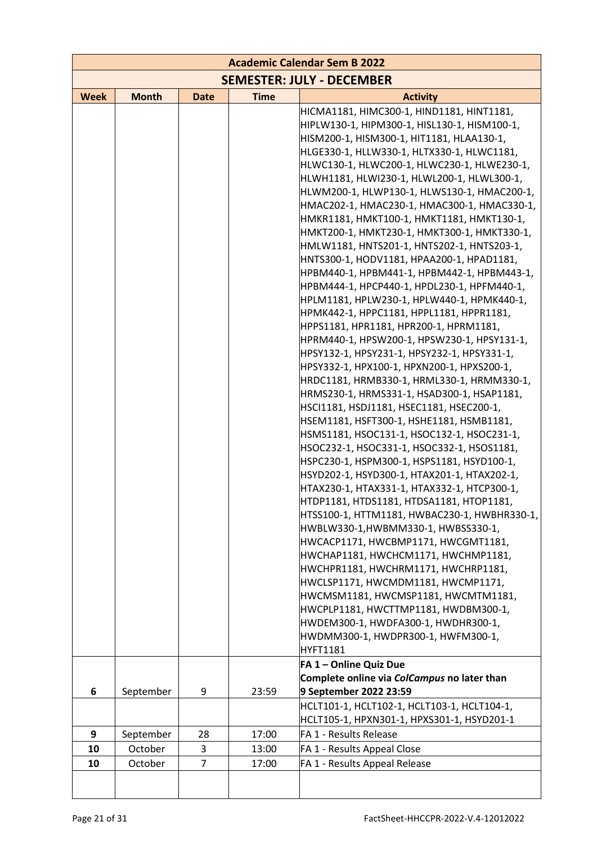|             |              |                |             | <b>Academic Calendar Sem B 2022</b>                                                       |
|-------------|--------------|----------------|-------------|-------------------------------------------------------------------------------------------|
|             |              |                |             | <b>SEMESTER: JULY - DECEMBER</b>                                                          |
| <b>Week</b> | <b>Month</b> | <b>Date</b>    | <b>Time</b> | <b>Activity</b>                                                                           |
|             |              |                |             | HICMA1181, HIMC300-1, HIND1181, HINT1181,                                                 |
|             |              |                |             | HIPLW130-1, HIPM300-1, HISL130-1, HISM100-1,                                              |
|             |              |                |             | HISM200-1, HISM300-1, HIT1181, HLAA130-1,                                                 |
|             |              |                |             | HLGE330-1, HLLW330-1, HLTX330-1, HLWC1181,                                                |
|             |              |                |             | HLWC130-1, HLWC200-1, HLWC230-1, HLWE230-1,                                               |
|             |              |                |             | HLWH1181, HLWI230-1, HLWL200-1, HLWL300-1,                                                |
|             |              |                |             | HLWM200-1, HLWP130-1, HLWS130-1, HMAC200-1,                                               |
|             |              |                |             | HMAC202-1, HMAC230-1, HMAC300-1, HMAC330-1,                                               |
|             |              |                |             | HMKR1181, HMKT100-1, HMKT1181, HMKT130-1,                                                 |
|             |              |                |             | HMKT200-1, HMKT230-1, HMKT300-1, HMKT330-1,                                               |
|             |              |                |             | HMLW1181, HNTS201-1, HNTS202-1, HNTS203-1,<br>HNTS300-1, HODV1181, HPAA200-1, HPAD1181,   |
|             |              |                |             | HPBM440-1, HPBM441-1, HPBM442-1, HPBM443-1,                                               |
|             |              |                |             | HPBM444-1, HPCP440-1, HPDL230-1, HPFM440-1,                                               |
|             |              |                |             | HPLM1181, HPLW230-1, HPLW440-1, HPMK440-1,                                                |
|             |              |                |             | HPMK442-1, HPPC1181, HPPL1181, HPPR1181,                                                  |
|             |              |                |             | HPPS1181, HPR1181, HPR200-1, HPRM1181,                                                    |
|             |              |                |             | HPRM440-1, HPSW200-1, HPSW230-1, HPSY131-1,                                               |
|             |              |                |             | HPSY132-1, HPSY231-1, HPSY232-1, HPSY331-1,                                               |
|             |              |                |             | HPSY332-1, HPX100-1, HPXN200-1, HPXS200-1,                                                |
|             |              |                |             | HRDC1181, HRMB330-1, HRML330-1, HRMM330-1,                                                |
|             |              |                |             | HRMS230-1, HRMS331-1, HSAD300-1, HSAP1181,                                                |
|             |              |                |             | HSCI1181, HSDJ1181, HSEC1181, HSEC200-1,                                                  |
|             |              |                |             | HSEM1181, HSFT300-1, HSHE1181, HSMB1181,                                                  |
|             |              |                |             | HSMS1181, HSOC131-1, HSOC132-1, HSOC231-1,                                                |
|             |              |                |             | HSOC232-1, HSOC331-1, HSOC332-1, HSOS1181,                                                |
|             |              |                |             | HSPC230-1, HSPM300-1, HSPS1181, HSYD100-1,                                                |
|             |              |                |             | HSYD202-1, HSYD300-1, HTAX201-1, HTAX202-1,                                               |
|             |              |                |             | HTAX230-1, HTAX331-1, HTAX332-1, HTCP300-1,                                               |
|             |              |                |             | HTDP1181, HTDS1181, HTDSA1181, HTOP1181,<br>HTSS100-1, HTTM1181, HWBAC230-1, HWBHR330-1,  |
|             |              |                |             | HWBLW330-1,HWBMM330-1, HWBSS330-1,                                                        |
|             |              |                |             | HWCACP1171, HWCBMP1171, HWCGMT1181,                                                       |
|             |              |                |             | HWCHAP1181, HWCHCM1171, HWCHMP1181,                                                       |
|             |              |                |             | HWCHPR1181, HWCHRM1171, HWCHRP1181,                                                       |
|             |              |                |             | HWCLSP1171, HWCMDM1181, HWCMP1171,                                                        |
|             |              |                |             | HWCMSM1181, HWCMSP1181, HWCMTM1181,                                                       |
|             |              |                |             | HWCPLP1181, HWCTTMP1181, HWDBM300-1,                                                      |
|             |              |                |             | HWDEM300-1, HWDFA300-1, HWDHR300-1,                                                       |
|             |              |                |             | HWDMM300-1, HWDPR300-1, HWFM300-1,                                                        |
|             |              |                |             | <b>HYFT1181</b>                                                                           |
|             |              |                |             | FA 1-Online Quiz Due                                                                      |
|             |              |                |             | Complete online via ColCampus no later than                                               |
| 6           | September    | 9              | 23:59       | 9 September 2022 23:59                                                                    |
|             |              |                |             | HCLT101-1, HCLT102-1, HCLT103-1, HCLT104-1,<br>HCLT105-1, HPXN301-1, HPXS301-1, HSYD201-1 |
| 9           | September    | 28             | 17:00       | FA 1 - Results Release                                                                    |
| 10          | October      | 3              | 13:00       | FA 1 - Results Appeal Close                                                               |
| 10          | October      | $\overline{7}$ | 17:00       | FA 1 - Results Appeal Release                                                             |
|             |              |                |             |                                                                                           |
|             |              |                |             |                                                                                           |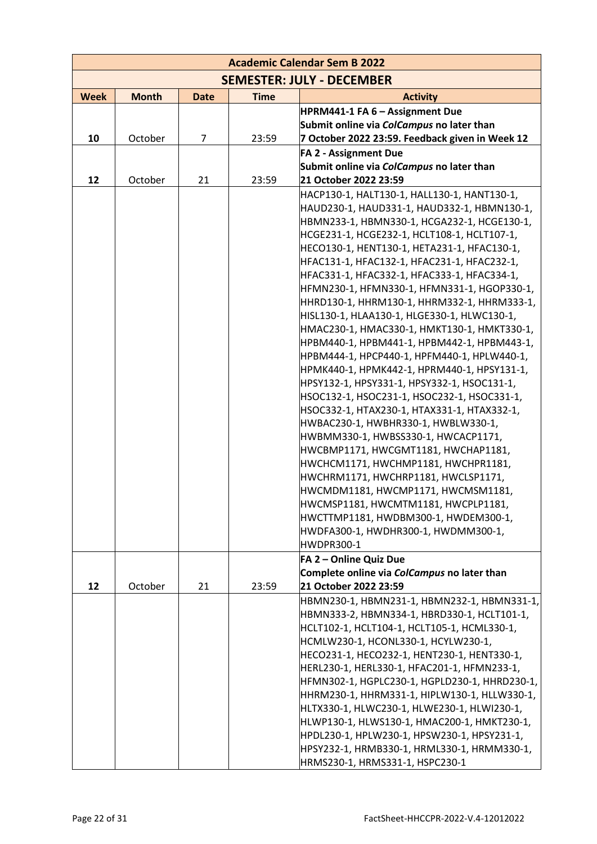|             |              |             |             | <b>Academic Calendar Sem B 2022</b>                                                        |
|-------------|--------------|-------------|-------------|--------------------------------------------------------------------------------------------|
|             |              |             |             | <b>SEMESTER: JULY - DECEMBER</b>                                                           |
| <b>Week</b> | <b>Month</b> | <b>Date</b> | <b>Time</b> | <b>Activity</b>                                                                            |
|             |              |             |             | HPRM441-1 FA 6 - Assignment Due                                                            |
|             |              |             |             | Submit online via ColCampus no later than                                                  |
| 10          | October      | 7           | 23:59       | 7 October 2022 23:59. Feedback given in Week 12                                            |
|             |              |             |             | <b>FA 2 - Assignment Due</b>                                                               |
|             |              |             |             | Submit online via ColCampus no later than                                                  |
| 12          | October      | 21          | 23:59       | 21 October 2022 23:59                                                                      |
|             |              |             |             | HACP130-1, HALT130-1, HALL130-1, HANT130-1,                                                |
|             |              |             |             | HAUD230-1, HAUD331-1, HAUD332-1, HBMN130-1,                                                |
|             |              |             |             | HBMN233-1, HBMN330-1, HCGA232-1, HCGE130-1,                                                |
|             |              |             |             | HCGE231-1, HCGE232-1, HCLT108-1, HCLT107-1,                                                |
|             |              |             |             | HECO130-1, HENT130-1, HETA231-1, HFAC130-1,                                                |
|             |              |             |             | HFAC131-1, HFAC132-1, HFAC231-1, HFAC232-1,                                                |
|             |              |             |             | HFAC331-1, HFAC332-1, HFAC333-1, HFAC334-1,                                                |
|             |              |             |             | HFMN230-1, HFMN330-1, HFMN331-1, HGOP330-1,                                                |
|             |              |             |             | HHRD130-1, HHRM130-1, HHRM332-1, HHRM333-1,                                                |
|             |              |             |             | HISL130-1, HLAA130-1, HLGE330-1, HLWC130-1,                                                |
|             |              |             |             | HMAC230-1, HMAC330-1, HMKT130-1, HMKT330-1,                                                |
|             |              |             |             | НРВМ440-1, НРВМ441-1, НРВМ442-1, НРВМ443-1,                                                |
|             |              |             |             | HPBM444-1, HPCP440-1, HPFM440-1, HPLW440-1,                                                |
|             |              |             |             | HPMK440-1, HPMK442-1, HPRM440-1, HPSY131-1,                                                |
|             |              |             |             | HPSY132-1, HPSY331-1, HPSY332-1, HSOC131-1,<br>HSOC132-1, HSOC231-1, HSOC232-1, HSOC331-1, |
|             |              |             |             | HSOC332-1, HTAX230-1, HTAX331-1, HTAX332-1,                                                |
|             |              |             |             | HWBAC230-1, HWBHR330-1, HWBLW330-1,                                                        |
|             |              |             |             | HWBMM330-1, HWBSS330-1, HWCACP1171,                                                        |
|             |              |             |             | HWCBMP1171, HWCGMT1181, HWCHAP1181,                                                        |
|             |              |             |             | HWCHCM1171, HWCHMP1181, HWCHPR1181,                                                        |
|             |              |             |             | HWCHRM1171, HWCHRP1181, HWCLSP1171,                                                        |
|             |              |             |             | HWCMDM1181, HWCMP1171, HWCMSM1181,                                                         |
|             |              |             |             | HWCMSP1181, HWCMTM1181, HWCPLP1181,                                                        |
|             |              |             |             | HWCTTMP1181, HWDBM300-1, HWDEM300-1,                                                       |
|             |              |             |             | HWDFA300-1, HWDHR300-1, HWDMM300-1,                                                        |
|             |              |             |             | <b>HWDPR300-1</b>                                                                          |
|             |              |             |             | FA 2 - Online Quiz Due                                                                     |
|             |              |             |             | Complete online via ColCampus no later than                                                |
| 12          | October      | 21          | 23:59       | 21 October 2022 23:59                                                                      |
|             |              |             |             | HBMN230-1, HBMN231-1, HBMN232-1, HBMN331-1,                                                |
|             |              |             |             | HBMN333-2, HBMN334-1, HBRD330-1, HCLT101-1,                                                |
|             |              |             |             | HCLT102-1, HCLT104-1, HCLT105-1, HCML330-1,                                                |
|             |              |             |             | HCMLW230-1, HCONL330-1, HCYLW230-1,                                                        |
|             |              |             |             | HECO231-1, HECO232-1, HENT230-1, HENT330-1,                                                |
|             |              |             |             | HERL230-1, HERL330-1, HFAC201-1, HFMN233-1,                                                |
|             |              |             |             | HFMN302-1, HGPLC230-1, HGPLD230-1, HHRD230-1,                                              |
|             |              |             |             | HHRM230-1, HHRM331-1, HIPLW130-1, HLLW330-1,                                               |
|             |              |             |             | HLTX330-1, HLWC230-1, HLWE230-1, HLWI230-1,                                                |
|             |              |             |             | HLWP130-1, HLWS130-1, HMAC200-1, HMKT230-1,                                                |
|             |              |             |             | HPDL230-1, HPLW230-1, HPSW230-1, HPSY231-1,                                                |
|             |              |             |             | HPSY232-1, HRMB330-1, HRML330-1, HRMM330-1,                                                |
|             |              |             |             | HRMS230-1, HRMS331-1, HSPC230-1                                                            |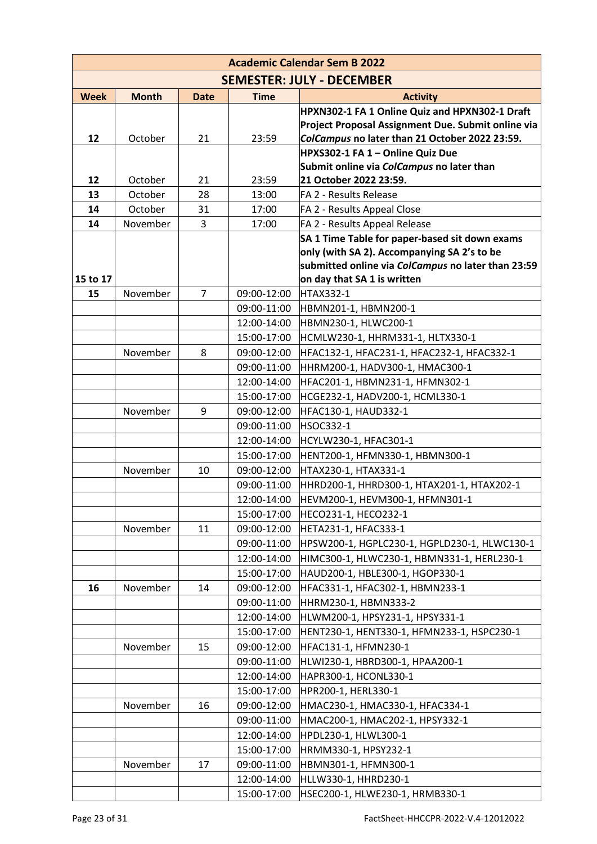| <b>Academic Calendar Sem B 2022</b> |              |                |             |                                                                                                   |
|-------------------------------------|--------------|----------------|-------------|---------------------------------------------------------------------------------------------------|
|                                     |              |                |             | <b>SEMESTER: JULY - DECEMBER</b>                                                                  |
| <b>Week</b>                         | <b>Month</b> | <b>Date</b>    | <b>Time</b> | <b>Activity</b>                                                                                   |
|                                     |              |                |             | HPXN302-1 FA 1 Online Quiz and HPXN302-1 Draft                                                    |
|                                     |              |                |             | Project Proposal Assignment Due. Submit online via                                                |
| 12                                  | October      | 21             | 23:59       | ColCampus no later than 21 October 2022 23:59.                                                    |
|                                     |              |                |             | HPXS302-1 FA 1 - Online Quiz Due                                                                  |
|                                     |              |                |             | Submit online via ColCampus no later than                                                         |
| 12                                  | October      | 21             | 23:59       | 21 October 2022 23:59.                                                                            |
| 13                                  | October      | 28             | 13:00       | FA 2 - Results Release                                                                            |
| 14                                  | October      | 31             | 17:00       | FA 2 - Results Appeal Close                                                                       |
| 14                                  | November     | 3              | 17:00       | FA 2 - Results Appeal Release                                                                     |
|                                     |              |                |             | SA 1 Time Table for paper-based sit down exams                                                    |
|                                     |              |                |             | only (with SA 2). Accompanying SA 2's to be<br>submitted online via ColCampus no later than 23:59 |
| 15 to 17                            |              |                |             | on day that SA 1 is written                                                                       |
| 15                                  | November     | $\overline{7}$ | 09:00-12:00 | <b>HTAX332-1</b>                                                                                  |
|                                     |              |                | 09:00-11:00 | HBMN201-1, HBMN200-1                                                                              |
|                                     |              |                | 12:00-14:00 | HBMN230-1, HLWC200-1                                                                              |
|                                     |              |                | 15:00-17:00 | HCMLW230-1, HHRM331-1, HLTX330-1                                                                  |
|                                     | November     | 8              | 09:00-12:00 | HFAC132-1, HFAC231-1, HFAC232-1, HFAC332-1                                                        |
|                                     |              |                | 09:00-11:00 | HHRM200-1, HADV300-1, HMAC300-1                                                                   |
|                                     |              |                | 12:00-14:00 | HFAC201-1, HBMN231-1, HFMN302-1                                                                   |
|                                     |              |                | 15:00-17:00 | HCGE232-1, HADV200-1, HCML330-1                                                                   |
|                                     | November     | 9              | 09:00-12:00 | HFAC130-1, HAUD332-1                                                                              |
|                                     |              |                | 09:00-11:00 | <b>HSOC332-1</b>                                                                                  |
|                                     |              |                | 12:00-14:00 | HCYLW230-1, HFAC301-1                                                                             |
|                                     |              |                | 15:00-17:00 | HENT200-1, HFMN330-1, HBMN300-1                                                                   |
|                                     | November     | 10             | 09:00-12:00 | HTAX230-1, HTAX331-1                                                                              |
|                                     |              |                | 09:00-11:00 | HHRD200-1, HHRD300-1, HTAX201-1, HTAX202-1                                                        |
|                                     |              |                | 12:00-14:00 | HEVM200-1, HEVM300-1, HFMN301-1                                                                   |
|                                     |              |                | 15:00-17:00 | HECO231-1, HECO232-1                                                                              |
|                                     | November     | 11             | 09:00-12:00 | HETA231-1, HFAC333-1                                                                              |
|                                     |              |                | 09:00-11:00 | HPSW200-1, HGPLC230-1, HGPLD230-1, HLWC130-1                                                      |
|                                     |              |                | 12:00-14:00 | HIMC300-1, HLWC230-1, HBMN331-1, HERL230-1                                                        |
|                                     |              |                | 15:00-17:00 | HAUD200-1, HBLE300-1, HGOP330-1                                                                   |
| 16                                  | November     | 14             | 09:00-12:00 | HFAC331-1, HFAC302-1, HBMN233-1                                                                   |
|                                     |              |                | 09:00-11:00 | HHRM230-1, HBMN333-2                                                                              |
|                                     |              |                | 12:00-14:00 | HLWM200-1, HPSY231-1, HPSY331-1                                                                   |
|                                     |              |                | 15:00-17:00 | HENT230-1, HENT330-1, HFMN233-1, HSPC230-1                                                        |
|                                     | November     | 15             | 09:00-12:00 | HFAC131-1, HFMN230-1                                                                              |
|                                     |              |                | 09:00-11:00 | HLWI230-1, HBRD300-1, HPAA200-1                                                                   |
|                                     |              |                | 12:00-14:00 | HAPR300-1, HCONL330-1                                                                             |
|                                     |              |                | 15:00-17:00 | HPR200-1, HERL330-1                                                                               |
|                                     | November     | 16             | 09:00-12:00 | HMAC230-1, HMAC330-1, HFAC334-1                                                                   |
|                                     |              |                | 09:00-11:00 | HMAC200-1, HMAC202-1, HPSY332-1                                                                   |
|                                     |              |                | 12:00-14:00 | HPDL230-1, HLWL300-1                                                                              |
|                                     |              |                | 15:00-17:00 | HRMM330-1, HPSY232-1                                                                              |
|                                     | November     | 17             | 09:00-11:00 | HBMN301-1, HFMN300-1                                                                              |
|                                     |              |                | 12:00-14:00 | HLLW330-1, HHRD230-1                                                                              |
|                                     |              |                | 15:00-17:00 | HSEC200-1, HLWE230-1, HRMB330-1                                                                   |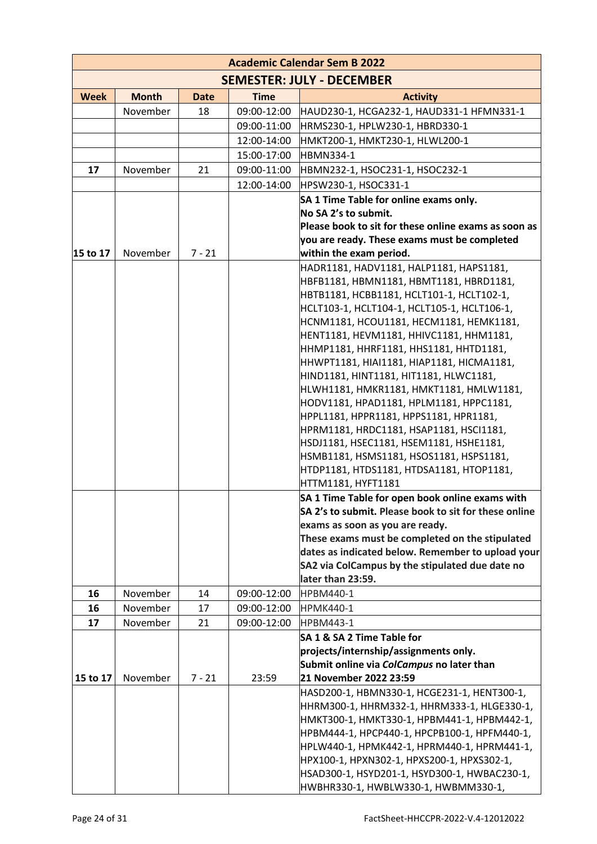| <b>Academic Calendar Sem B 2022</b> |              |             |             |                                                                                          |
|-------------------------------------|--------------|-------------|-------------|------------------------------------------------------------------------------------------|
|                                     |              |             |             | <b>SEMESTER: JULY - DECEMBER</b>                                                         |
| <b>Week</b>                         | <b>Month</b> | <b>Date</b> | <b>Time</b> | <b>Activity</b>                                                                          |
|                                     | November     | 18          | 09:00-12:00 | HAUD230-1, HCGA232-1, HAUD331-1 HFMN331-1                                                |
|                                     |              |             | 09:00-11:00 | HRMS230-1, HPLW230-1, HBRD330-1                                                          |
|                                     |              |             | 12:00-14:00 | HMKT200-1, HMKT230-1, HLWL200-1                                                          |
|                                     |              |             | 15:00-17:00 | <b>HBMN334-1</b>                                                                         |
| 17                                  | November     | 21          | 09:00-11:00 | HBMN232-1, HSOC231-1, HSOC232-1                                                          |
|                                     |              |             | 12:00-14:00 | HPSW230-1, HSOC331-1                                                                     |
|                                     |              |             |             | SA 1 Time Table for online exams only.                                                   |
|                                     |              |             |             | No SA 2's to submit.                                                                     |
|                                     |              |             |             | Please book to sit for these online exams as soon as                                     |
|                                     |              |             |             | you are ready. These exams must be completed                                             |
| 15 to 17                            | November     | $7 - 21$    |             | within the exam period.                                                                  |
|                                     |              |             |             | HADR1181, HADV1181, HALP1181, HAPS1181,                                                  |
|                                     |              |             |             | HBFB1181, HBMN1181, HBMT1181, HBRD1181,                                                  |
|                                     |              |             |             | HBTB1181, HCBB1181, HCLT101-1, HCLT102-1,<br>HCLT103-1, HCLT104-1, HCLT105-1, HCLT106-1, |
|                                     |              |             |             | HCNM1181, HCOU1181, HECM1181, HEMK1181,                                                  |
|                                     |              |             |             | HENT1181, HEVM1181, HHIVC1181, HHM1181,                                                  |
|                                     |              |             |             | HHMP1181, HHRF1181, HHS1181, HHTD1181,                                                   |
|                                     |              |             |             | HHWPT1181, HIAI1181, HIAP1181, HICMA1181,                                                |
|                                     |              |             |             | HIND1181, HINT1181, HIT1181, HLWC1181,                                                   |
|                                     |              |             |             | HLWH1181, HMKR1181, HMKT1181, HMLW1181,                                                  |
|                                     |              |             |             | HODV1181, HPAD1181, HPLM1181, HPPC1181,                                                  |
|                                     |              |             |             | HPPL1181, HPPR1181, HPPS1181, HPR1181,                                                   |
|                                     |              |             |             | HPRM1181, HRDC1181, HSAP1181, HSCI1181,                                                  |
|                                     |              |             |             | HSDJ1181, HSEC1181, HSEM1181, HSHE1181,                                                  |
|                                     |              |             |             | HSMB1181, HSMS1181, HSOS1181, HSPS1181,                                                  |
|                                     |              |             |             | HTDP1181, HTDS1181, HTDSA1181, HTOP1181,<br>HTTM1181, HYFT1181                           |
|                                     |              |             |             | SA 1 Time Table for open book online exams with                                          |
|                                     |              |             |             | SA 2's to submit. Please book to sit for these online                                    |
|                                     |              |             |             | exams as soon as you are ready.                                                          |
|                                     |              |             |             | These exams must be completed on the stipulated                                          |
|                                     |              |             |             | dates as indicated below. Remember to upload your                                        |
|                                     |              |             |             | SA2 via ColCampus by the stipulated due date no                                          |
|                                     |              |             |             | later than 23:59.                                                                        |
| 16                                  | November     | 14          | 09:00-12:00 | <b>HPBM440-1</b>                                                                         |
| 16                                  | November     | 17          | 09:00-12:00 | <b>HPMK440-1</b>                                                                         |
| 17                                  | November     | 21          | 09:00-12:00 | <b>HPBM443-1</b>                                                                         |
|                                     |              |             |             | SA 1 & SA 2 Time Table for                                                               |
|                                     |              |             |             | projects/internship/assignments only.                                                    |
| 15 to 17                            | November     | $7 - 21$    | 23:59       | Submit online via ColCampus no later than<br>21 November 2022 23:59                      |
|                                     |              |             |             | HASD200-1, HBMN330-1, HCGE231-1, HENT300-1,                                              |
|                                     |              |             |             | HHRM300-1, HHRM332-1, HHRM333-1, HLGE330-1,                                              |
|                                     |              |             |             | НМКТЗ00-1, НМКТЗЗ0-1, НРВМ441-1, НРВМ442-1,                                              |
|                                     |              |             |             | НРВМ444-1, НРСР440-1, НРСРВ100-1, НРГМ440-1,                                             |
|                                     |              |             |             | HPLW440-1, HPMK442-1, HPRM440-1, HPRM441-1,                                              |
|                                     |              |             |             | HPX100-1, HPXN302-1, HPXS200-1, HPXS302-1,                                               |
|                                     |              |             |             | HSAD300-1, HSYD201-1, HSYD300-1, HWBAC230-1,                                             |
|                                     |              |             |             | HWBHR330-1, HWBLW330-1, HWBMM330-1,                                                      |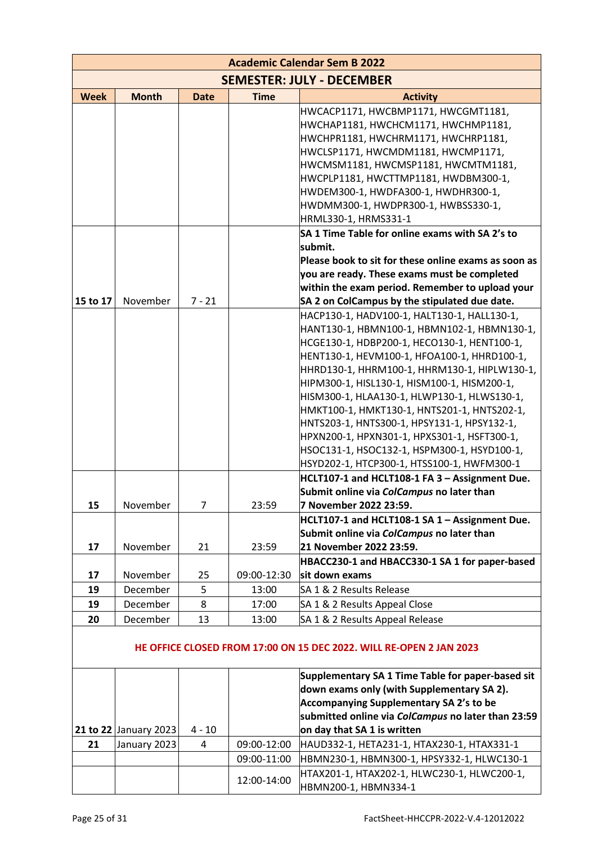| <b>Academic Calendar Sem B 2022</b>                                                                                                     |                       |                     |                |                                                                                                                                                                                                                                                                                                                                                                                                                                                                                                                                                                                                                                                                                                                                                                                                                                                                                      |
|-----------------------------------------------------------------------------------------------------------------------------------------|-----------------------|---------------------|----------------|--------------------------------------------------------------------------------------------------------------------------------------------------------------------------------------------------------------------------------------------------------------------------------------------------------------------------------------------------------------------------------------------------------------------------------------------------------------------------------------------------------------------------------------------------------------------------------------------------------------------------------------------------------------------------------------------------------------------------------------------------------------------------------------------------------------------------------------------------------------------------------------|
|                                                                                                                                         |                       |                     |                | <b>SEMESTER: JULY - DECEMBER</b>                                                                                                                                                                                                                                                                                                                                                                                                                                                                                                                                                                                                                                                                                                                                                                                                                                                     |
| <b>Week</b>                                                                                                                             | <b>Month</b>          | <b>Date</b>         | <b>Time</b>    | <b>Activity</b>                                                                                                                                                                                                                                                                                                                                                                                                                                                                                                                                                                                                                                                                                                                                                                                                                                                                      |
|                                                                                                                                         |                       |                     |                | HWCACP1171, HWCBMP1171, HWCGMT1181,<br>HWCHAP1181, HWCHCM1171, HWCHMP1181,<br>HWCHPR1181, HWCHRM1171, HWCHRP1181,<br>HWCLSP1171, HWCMDM1181, HWCMP1171,<br>HWCMSM1181, HWCMSP1181, HWCMTM1181,<br>HWCPLP1181, HWCTTMP1181, HWDBM300-1,<br>HWDEM300-1, HWDFA300-1, HWDHR300-1,<br>HWDMM300-1, HWDPR300-1, HWBSS330-1,<br>HRML330-1, HRMS331-1<br>SA 1 Time Table for online exams with SA 2's to<br>submit.<br>Please book to sit for these online exams as soon as<br>you are ready. These exams must be completed                                                                                                                                                                                                                                                                                                                                                                   |
|                                                                                                                                         | November              |                     |                | within the exam period. Remember to upload your                                                                                                                                                                                                                                                                                                                                                                                                                                                                                                                                                                                                                                                                                                                                                                                                                                      |
| 15 to 17<br>15<br>17                                                                                                                    | November<br>November  | $7 - 21$<br>7<br>21 | 23:59<br>23:59 | SA 2 on ColCampus by the stipulated due date.<br>HACP130-1, HADV100-1, HALT130-1, HALL130-1,<br>HANT130-1, HBMN100-1, HBMN102-1, HBMN130-1,<br>HCGE130-1, HDBP200-1, HECO130-1, HENT100-1,<br>HENT130-1, HEVM100-1, HFOA100-1, HHRD100-1,<br>HHRD130-1, HHRM100-1, HHRM130-1, HIPLW130-1,<br>HIPM300-1, HISL130-1, HISM100-1, HISM200-1,<br>HISM300-1, HLAA130-1, HLWP130-1, HLWS130-1,<br>HMKT100-1, HMKT130-1, HNTS201-1, HNTS202-1,<br>HNTS203-1, HNTS300-1, HPSY131-1, HPSY132-1,<br>HPXN200-1, HPXN301-1, HPXS301-1, HSFT300-1,<br>HSOC131-1, HSOC132-1, HSPM300-1, HSYD100-1,<br>HSYD202-1, HTCP300-1, HTSS100-1, HWFM300-1<br>HCLT107-1 and HCLT108-1 FA 3 - Assignment Due.<br>Submit online via ColCampus no later than<br>7 November 2022 23:59.<br>HCLT107-1 and HCLT108-1 SA 1 - Assignment Due.<br>Submit online via ColCampus no later than<br>21 November 2022 23:59. |
|                                                                                                                                         |                       |                     |                | HBACC230-1 and HBACC330-1 SA 1 for paper-based                                                                                                                                                                                                                                                                                                                                                                                                                                                                                                                                                                                                                                                                                                                                                                                                                                       |
| 17                                                                                                                                      | November              | 25                  | 09:00-12:30    | sit down exams                                                                                                                                                                                                                                                                                                                                                                                                                                                                                                                                                                                                                                                                                                                                                                                                                                                                       |
| 19                                                                                                                                      | December              | 5                   | 13:00          | SA 1 & 2 Results Release                                                                                                                                                                                                                                                                                                                                                                                                                                                                                                                                                                                                                                                                                                                                                                                                                                                             |
| 19                                                                                                                                      | December              | 8                   | 17:00          | SA 1 & 2 Results Appeal Close                                                                                                                                                                                                                                                                                                                                                                                                                                                                                                                                                                                                                                                                                                                                                                                                                                                        |
| 20<br>December<br>13<br>SA 1 & 2 Results Appeal Release<br>13:00<br>HE OFFICE CLOSED FROM 17:00 ON 15 DEC 2022. WILL RE-OPEN 2 JAN 2023 |                       |                     |                |                                                                                                                                                                                                                                                                                                                                                                                                                                                                                                                                                                                                                                                                                                                                                                                                                                                                                      |
|                                                                                                                                         | 21 to 22 January 2023 | $4 - 10$            |                | Supplementary SA 1 Time Table for paper-based sit<br>down exams only (with Supplementary SA 2).<br><b>Accompanying Supplementary SA 2's to be</b><br>submitted online via ColCampus no later than 23:59<br>on day that SA 1 is written                                                                                                                                                                                                                                                                                                                                                                                                                                                                                                                                                                                                                                               |
| 21                                                                                                                                      | January 2023          | 4                   | 09:00-12:00    | HAUD332-1, HETA231-1, HTAX230-1, HTAX331-1                                                                                                                                                                                                                                                                                                                                                                                                                                                                                                                                                                                                                                                                                                                                                                                                                                           |
|                                                                                                                                         |                       |                     | 09:00-11:00    | HBMN230-1, HBMN300-1, HPSY332-1, HLWC130-1                                                                                                                                                                                                                                                                                                                                                                                                                                                                                                                                                                                                                                                                                                                                                                                                                                           |
|                                                                                                                                         |                       |                     | 12:00-14:00    | HTAX201-1, HTAX202-1, HLWC230-1, HLWC200-1,<br>HBMN200-1, HBMN334-1                                                                                                                                                                                                                                                                                                                                                                                                                                                                                                                                                                                                                                                                                                                                                                                                                  |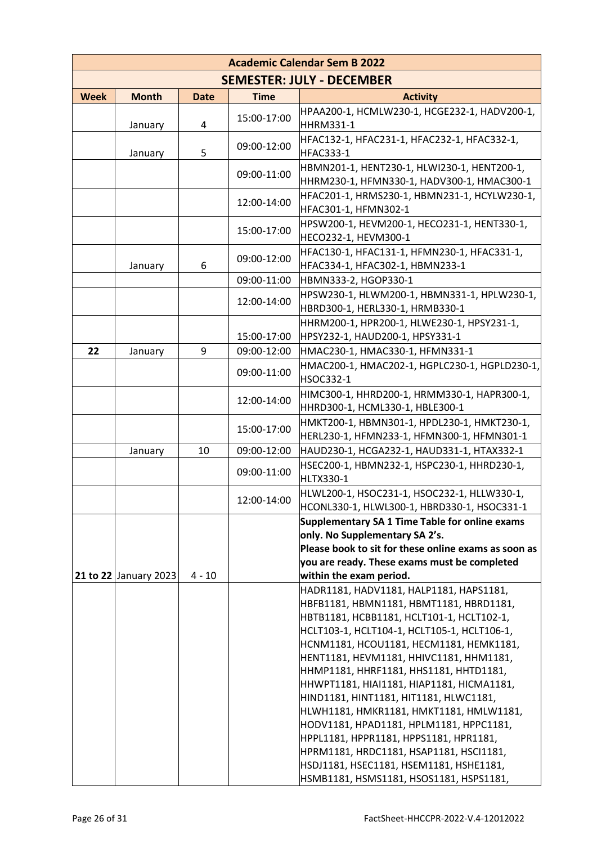|             | <b>Academic Calendar Sem B 2022</b> |             |               |                                                                                                      |
|-------------|-------------------------------------|-------------|---------------|------------------------------------------------------------------------------------------------------|
|             |                                     |             |               | <b>SEMESTER: JULY - DECEMBER</b>                                                                     |
| <b>Week</b> | <b>Month</b>                        | <b>Date</b> | <b>Time</b>   | <b>Activity</b>                                                                                      |
|             | January                             | 4           | 15:00-17:00   | HPAA200-1, HCMLW230-1, HCGE232-1, HADV200-1,<br>HHRM331-1                                            |
|             | January                             | 5           | 09:00-12:00   | HFAC132-1, HFAC231-1, HFAC232-1, HFAC332-1,<br>HFAC333-1                                             |
|             |                                     |             | 09:00-11:00   | HBMN201-1, HENT230-1, HLWI230-1, HENT200-1,<br>HHRM230-1, HFMN330-1, HADV300-1, HMAC300-1            |
|             |                                     |             | 12:00-14:00   | HFAC201-1, HRMS230-1, HBMN231-1, HCYLW230-1,<br>HFAC301-1, HFMN302-1                                 |
|             |                                     |             | 15:00-17:00   | HPSW200-1, HEVM200-1, HECO231-1, HENT330-1,<br>HECO232-1, HEVM300-1                                  |
|             | January                             | 6           | 09:00-12:00   | HFAC130-1, HFAC131-1, HFMN230-1, HFAC331-1,<br>HFAC334-1, HFAC302-1, HBMN233-1                       |
|             |                                     |             | 09:00-11:00   | HBMN333-2, HGOP330-1                                                                                 |
|             |                                     |             | 12:00-14:00   | HPSW230-1, HLWM200-1, HBMN331-1, HPLW230-1,<br>HBRD300-1, HERL330-1, HRMB330-1                       |
|             |                                     |             | 15:00-17:00   | HHRM200-1, HPR200-1, HLWE230-1, HPSY231-1,<br>HPSY232-1, HAUD200-1, HPSY331-1                        |
| 22          | January                             | 9           | 09:00-12:00   | HMAC230-1, HMAC330-1, HFMN331-1                                                                      |
|             |                                     |             | 09:00-11:00   | HMAC200-1, HMAC202-1, HGPLC230-1, HGPLD230-1,<br><b>HSOC332-1</b>                                    |
|             |                                     |             | 12:00-14:00   | HIMC300-1, HHRD200-1, HRMM330-1, HAPR300-1,<br>HHRD300-1, HCML330-1, HBLE300-1                       |
|             |                                     |             | 15:00-17:00   | HMKT200-1, HBMN301-1, HPDL230-1, HMKT230-1,<br>HERL230-1, HFMN233-1, HFMN300-1, HFMN301-1            |
|             | January                             | 10          | 09:00-12:00   | HAUD230-1, HCGA232-1, HAUD331-1, HTAX332-1                                                           |
|             |                                     |             | 09:00-11:00   | HSEC200-1, HBMN232-1, HSPC230-1, HHRD230-1,<br>HLTX330-1                                             |
|             |                                     |             | $12:00-14:00$ | HLWL200-1, HSOC231-1, HSOC232-1, HLLW330-1,<br>HCONL330-1, HLWL300-1, HBRD330-1, HSOC331-1           |
|             |                                     |             |               | Supplementary SA 1 Time Table for online exams                                                       |
|             |                                     |             |               | only. No Supplementary SA 2's.                                                                       |
|             |                                     |             |               | Please book to sit for these online exams as soon as<br>you are ready. These exams must be completed |
|             | 21 to 22 January 2023               | $4 - 10$    |               | within the exam period.                                                                              |
|             |                                     |             |               | HADR1181, HADV1181, HALP1181, HAPS1181,                                                              |
|             |                                     |             |               | HBFB1181, HBMN1181, HBMT1181, HBRD1181,                                                              |
|             |                                     |             |               | HBTB1181, HCBB1181, HCLT101-1, HCLT102-1,                                                            |
|             |                                     |             |               | HCLT103-1, HCLT104-1, HCLT105-1, HCLT106-1,                                                          |
|             |                                     |             |               | HCNM1181, HCOU1181, HECM1181, HEMK1181,                                                              |
|             |                                     |             |               | HENT1181, HEVM1181, HHIVC1181, HHM1181,<br>HHMP1181, HHRF1181, HHS1181, HHTD1181,                    |
|             |                                     |             |               | HHWPT1181, HIAI1181, HIAP1181, HICMA1181,                                                            |
|             |                                     |             |               | HIND1181, HINT1181, HIT1181, HLWC1181,                                                               |
|             |                                     |             |               | HLWH1181, HMKR1181, HMKT1181, HMLW1181,                                                              |
|             |                                     |             |               | HODV1181, HPAD1181, HPLM1181, HPPC1181,                                                              |
|             |                                     |             |               | HPPL1181, HPPR1181, HPPS1181, HPR1181,                                                               |
|             |                                     |             |               | HPRM1181, HRDC1181, HSAP1181, HSCI1181,                                                              |
|             |                                     |             |               |                                                                                                      |
|             |                                     |             |               | HSDJ1181, HSEC1181, HSEM1181, HSHE1181,<br>HSMB1181, HSMS1181, HSOS1181, HSPS1181,                   |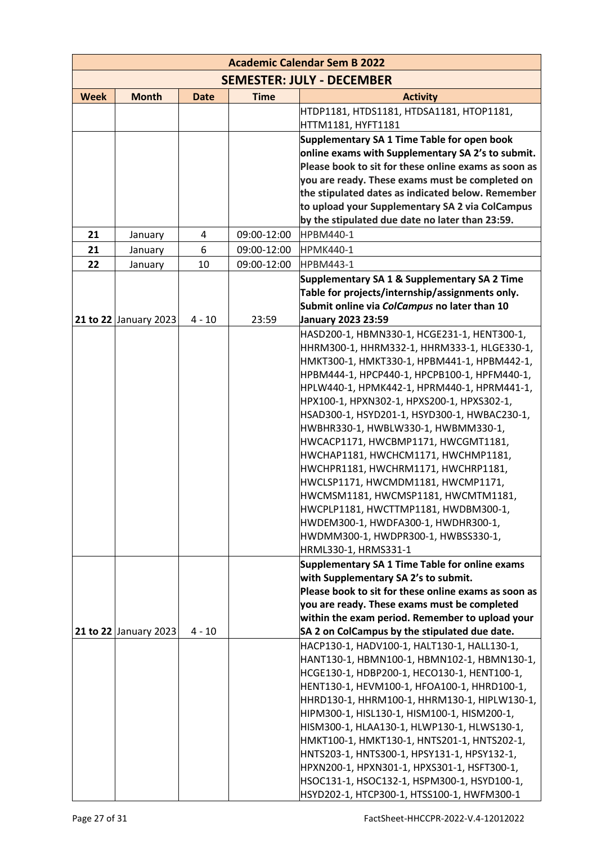|             |                       |             |             | <b>Academic Calendar Sem B 2022</b>                                                                |
|-------------|-----------------------|-------------|-------------|----------------------------------------------------------------------------------------------------|
|             |                       |             |             | <b>SEMESTER: JULY - DECEMBER</b>                                                                   |
| <b>Week</b> | <b>Month</b>          | <b>Date</b> | <b>Time</b> | <b>Activity</b>                                                                                    |
|             |                       |             |             | HTDP1181, HTDS1181, HTDSA1181, HTOP1181,                                                           |
|             |                       |             |             | HTTM1181, HYFT1181                                                                                 |
|             |                       |             |             | Supplementary SA 1 Time Table for open book                                                        |
|             |                       |             |             | online exams with Supplementary SA 2's to submit.                                                  |
|             |                       |             |             | Please book to sit for these online exams as soon as                                               |
|             |                       |             |             | you are ready. These exams must be completed on                                                    |
|             |                       |             |             | the stipulated dates as indicated below. Remember                                                  |
|             |                       |             |             | to upload your Supplementary SA 2 via ColCampus<br>by the stipulated due date no later than 23:59. |
| 21          | January               | 4           | 09:00-12:00 | <b>HPBM440-1</b>                                                                                   |
| 21          | January               | 6           | 09:00-12:00 | <b>HPMK440-1</b>                                                                                   |
| 22          | January               | 10          | 09:00-12:00 | <b>HPBM443-1</b>                                                                                   |
|             |                       |             |             | Supplementary SA 1 & Supplementary SA 2 Time                                                       |
|             |                       |             |             | Table for projects/internship/assignments only.                                                    |
|             |                       |             |             | Submit online via ColCampus no later than 10                                                       |
|             | 21 to 22 January 2023 | $4 - 10$    | 23:59       | <b>January 2023 23:59</b>                                                                          |
|             |                       |             |             | HASD200-1, HBMN330-1, HCGE231-1, HENT300-1,                                                        |
|             |                       |             |             | HHRM300-1, HHRM332-1, HHRM333-1, HLGE330-1,                                                        |
|             |                       |             |             | НМКТ300-1, НМКТ330-1, НРВМ441-1, НРВМ442-1,                                                        |
|             |                       |             |             | НРВМ444-1, НРСР440-1, НРСРВ100-1, НРЕМ440-1,                                                       |
|             |                       |             |             | HPLW440-1, HPMK442-1, HPRM440-1, HPRM441-1,                                                        |
|             |                       |             |             | HPX100-1, HPXN302-1, HPXS200-1, HPXS302-1,                                                         |
|             |                       |             |             | HSAD300-1, HSYD201-1, HSYD300-1, HWBAC230-1,                                                       |
|             |                       |             |             | HWBHR330-1, HWBLW330-1, HWBMM330-1,                                                                |
|             |                       |             |             | HWCACP1171, HWCBMP1171, HWCGMT1181,                                                                |
|             |                       |             |             | HWCHAP1181, HWCHCM1171, HWCHMP1181,                                                                |
|             |                       |             |             | HWCHPR1181, HWCHRM1171, HWCHRP1181,                                                                |
|             |                       |             |             | HWCLSP1171, HWCMDM1181, HWCMP1171,                                                                 |
|             |                       |             |             | HWCMSM1181, HWCMSP1181, HWCMTM1181,<br>HWCPLP1181, HWCTTMP1181, HWDBM300-1,                        |
|             |                       |             |             | HWDEM300-1, HWDFA300-1, HWDHR300-1,                                                                |
|             |                       |             |             | HWDMM300-1, HWDPR300-1, HWBSS330-1,                                                                |
|             |                       |             |             | HRML330-1, HRMS331-1                                                                               |
|             |                       |             |             | Supplementary SA 1 Time Table for online exams                                                     |
|             |                       |             |             | with Supplementary SA 2's to submit.                                                               |
|             |                       |             |             | Please book to sit for these online exams as soon as                                               |
|             |                       |             |             | you are ready. These exams must be completed                                                       |
|             |                       |             |             | within the exam period. Remember to upload your                                                    |
|             | 21 to 22 January 2023 | $4 - 10$    |             | SA 2 on ColCampus by the stipulated due date.                                                      |
|             |                       |             |             | HACP130-1, HADV100-1, HALT130-1, HALL130-1,                                                        |
|             |                       |             |             | HANT130-1, HBMN100-1, HBMN102-1, HBMN130-1,                                                        |
|             |                       |             |             | HCGE130-1, HDBP200-1, HECO130-1, HENT100-1,                                                        |
|             |                       |             |             | HENT130-1, HEVM100-1, HFOA100-1, HHRD100-1,                                                        |
|             |                       |             |             | HHRD130-1, HHRM100-1, HHRM130-1, HIPLW130-1,                                                       |
|             |                       |             |             | HIPM300-1, HISL130-1, HISM100-1, HISM200-1,                                                        |
|             |                       |             |             | HISM300-1, HLAA130-1, HLWP130-1, HLWS130-1,<br>HMKT100-1, HMKT130-1, HNTS201-1, HNTS202-1,         |
|             |                       |             |             | HNTS203-1, HNTS300-1, HPSY131-1, HPSY132-1,                                                        |
|             |                       |             |             | HPXN200-1, HPXN301-1, HPXS301-1, HSFT300-1,                                                        |
|             |                       |             |             | HSOC131-1, HSOC132-1, HSPM300-1, HSYD100-1,                                                        |
|             |                       |             |             | HSYD202-1, HTCP300-1, HTSS100-1, HWFM300-1                                                         |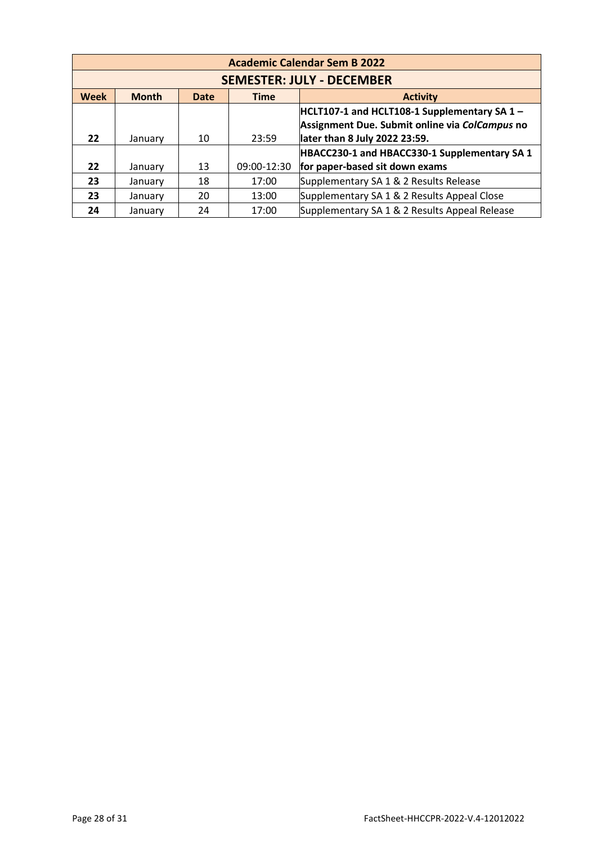|                                                                       | <b>Academic Calendar Sem B 2022</b> |    |             |                                                                                                                                   |  |
|-----------------------------------------------------------------------|-------------------------------------|----|-------------|-----------------------------------------------------------------------------------------------------------------------------------|--|
|                                                                       | <b>SEMESTER: JULY - DECEMBER</b>    |    |             |                                                                                                                                   |  |
| <b>Week</b><br><b>Month</b><br><b>Time</b><br><b>Activity</b><br>Date |                                     |    |             |                                                                                                                                   |  |
| 22                                                                    | January                             | 10 | 23:59       | $HCLT107-1$ and HCLT108-1 Supplementary SA 1 -<br>Assignment Due. Submit online via ColCampus no<br>later than 8 July 2022 23:59. |  |
|                                                                       |                                     |    |             | HBACC230-1 and HBACC330-1 Supplementary SA 1                                                                                      |  |
| 22                                                                    | January                             | 13 | 09:00-12:30 | for paper-based sit down exams                                                                                                    |  |
| 23                                                                    | January                             | 18 | 17:00       | Supplementary SA 1 & 2 Results Release                                                                                            |  |
| 23                                                                    | January                             | 20 | 13:00       | Supplementary SA 1 & 2 Results Appeal Close                                                                                       |  |
| 24                                                                    | January                             | 24 | 17:00       | Supplementary SA 1 & 2 Results Appeal Release                                                                                     |  |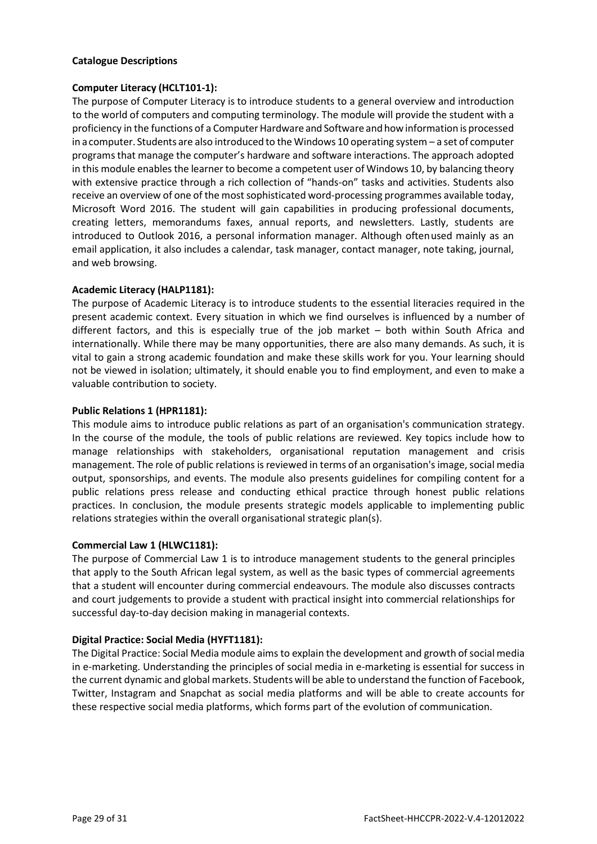# **Catalogue Descriptions**

# **Computer Literacy (HCLT101-1):**

The purpose of Computer Literacy is to introduce students to a general overview and introduction to the world of computers and computing terminology. The module will provide the student with a proficiency in the functions of a Computer Hardware and Software and how information is processed in acomputer. Students are also introduced to the Windows 10 operating system – a set of computer programsthat manage the computer's hardware and software interactions. The approach adopted in this module enables the learner to become a competent user of Windows 10, by balancing theory with extensive practice through a rich collection of "hands-on" tasks and activities. Students also receive an overview of one of the most sophisticated word-processing programmes available today, Microsoft Word 2016. The student will gain capabilities in producing professional documents, creating letters, memorandums faxes, annual reports, and newsletters. Lastly, students are introduced to Outlook 2016, a personal information manager. Although oftenused mainly as an email application, it also includes a calendar, task manager, contact manager, note taking, journal, and web browsing.

# **Academic Literacy (HALP1181):**

The purpose of Academic Literacy is to introduce students to the essential literacies required in the present academic context. Every situation in which we find ourselves is influenced by a number of different factors, and this is especially true of the job market – both within South Africa and internationally. While there may be many opportunities, there are also many demands. As such, it is vital to gain a strong academic foundation and make these skills work for you. Your learning should not be viewed in isolation; ultimately, it should enable you to find employment, and even to make a valuable contribution to society.

# **Public Relations 1 (HPR1181):**

This module aims to introduce public relations as part of an organisation's communication strategy. In the course of the module, the tools of public relations are reviewed. Key topics include how to manage relationships with stakeholders, organisational reputation management and crisis management. The role of public relations is reviewed in terms of an organisation's image, social media output, sponsorships, and events. The module also presents guidelines for compiling content for a public relations press release and conducting ethical practice through honest public relations practices. In conclusion, the module presents strategic models applicable to implementing public relations strategies within the overall organisational strategic plan(s).

# **Commercial Law 1 (HLWC1181):**

The purpose of Commercial Law 1 is to introduce management students to the general principles that apply to the South African legal system, as well as the basic types of commercial agreements that a student will encounter during commercial endeavours. The module also discusses contracts and court judgements to provide a student with practical insight into commercial relationships for successful day-to-day decision making in managerial contexts.

# **Digital Practice: Social Media (HYFT1181):**

The Digital Practice: Social Media module aims to explain the development and growth of social media in e-marketing. Understanding the principles of social media in e-marketing is essential for success in the current dynamic and global markets. Students will be able to understand the function of Facebook, Twitter, Instagram and Snapchat as social media platforms and will be able to create accounts for these respective social media platforms, which forms part of the evolution of communication.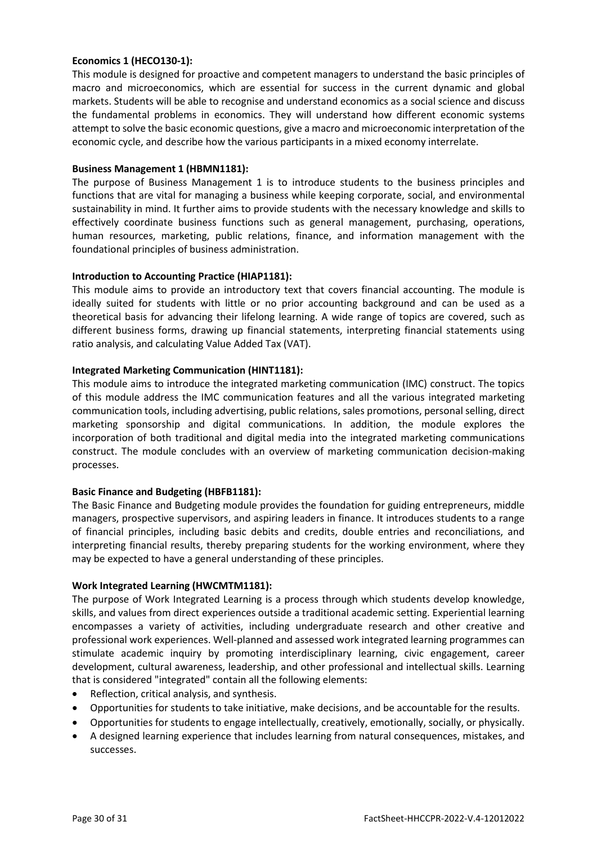# **Economics 1 (HECO130-1):**

This module is designed for proactive and competent managers to understand the basic principles of macro and microeconomics, which are essential for success in the current dynamic and global markets. Students will be able to recognise and understand economics as a social science and discuss the fundamental problems in economics. They will understand how different economic systems attempt to solve the basic economic questions, give a macro and microeconomic interpretation of the economic cycle, and describe how the various participants in a mixed economy interrelate.

# **Business Management 1 (HBMN1181):**

The purpose of Business Management 1 is to introduce students to the business principles and functions that are vital for managing a business while keeping corporate, social, and environmental sustainability in mind. It further aims to provide students with the necessary knowledge and skills to effectively coordinate business functions such as general management, purchasing, operations, human resources, marketing, public relations, finance, and information management with the foundational principles of business administration.

# **Introduction to Accounting Practice (HIAP1181):**

This module aims to provide an introductory text that covers financial accounting. The module is ideally suited for students with little or no prior accounting background and can be used as a theoretical basis for advancing their lifelong learning. A wide range of topics are covered, such as different business forms, drawing up financial statements, interpreting financial statements using ratio analysis, and calculating Value Added Tax (VAT).

# **Integrated Marketing Communication (HINT1181):**

This module aims to introduce the integrated marketing communication (IMC) construct. The topics of this module address the IMC communication features and all the various integrated marketing communication tools, including advertising, public relations, sales promotions, personal selling, direct marketing sponsorship and digital communications. In addition, the module explores the incorporation of both traditional and digital media into the integrated marketing communications construct. The module concludes with an overview of marketing communication decision-making processes.

# **Basic Finance and Budgeting (HBFB1181):**

The Basic Finance and Budgeting module provides the foundation for guiding entrepreneurs, middle managers, prospective supervisors, and aspiring leaders in finance. It introduces students to a range of financial principles, including basic debits and credits, double entries and reconciliations, and interpreting financial results, thereby preparing students for the working environment, where they may be expected to have a general understanding of these principles.

# **Work Integrated Learning (HWCMTM1181):**

The purpose of Work Integrated Learning is a process through which students develop knowledge, skills, and values from direct experiences outside a traditional academic setting. Experiential learning encompasses a variety of activities, including undergraduate research and other creative and professional work experiences. Well-planned and assessed work integrated learning programmes can stimulate academic inquiry by promoting interdisciplinary learning, civic engagement, career development, cultural awareness, leadership, and other professional and intellectual skills. Learning that is considered "integrated" contain all the following elements:

- Reflection, critical analysis, and synthesis.
- Opportunities for students to take initiative, make decisions, and be accountable for the results.
- Opportunities for students to engage intellectually, creatively, emotionally, socially, or physically.
- A designed learning experience that includes learning from natural consequences, mistakes, and successes.